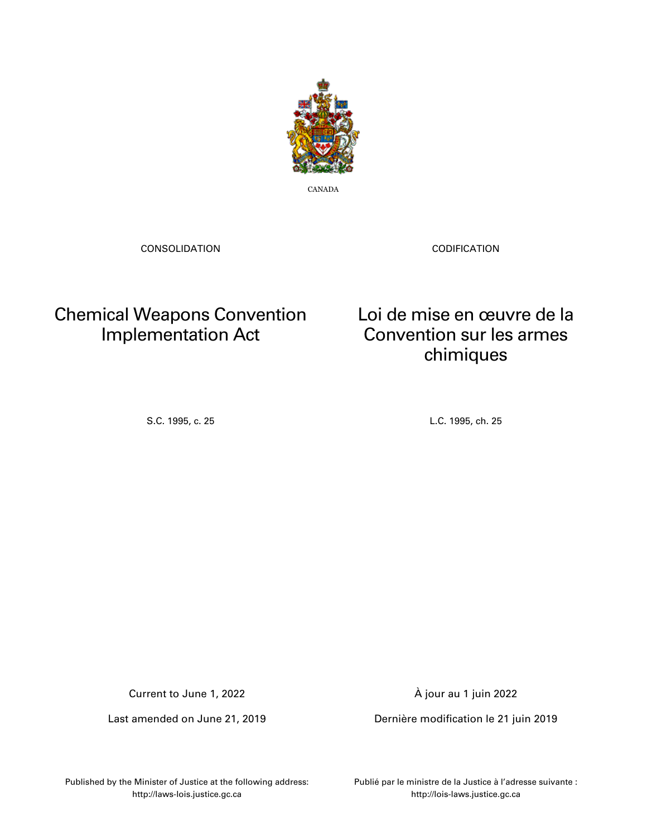

CANADA

CONSOLIDATION

CODIFICATION

# Chemical Weapons Convention Implementation Act

# Loi de mise en œuvre de la Convention sur les armes chimiques

S.C. 1995, c. 25 L.C. 1995, ch. 25

Current to June 1, 2022

Last amended on June 21, 2019

À jour au 1 juin 2022

Dernière modification le 21 juin 2019

Published by the Minister of Justice at the following address: http://laws-lois.justice.gc.ca

Publié par le ministre de la Justice à l'adresse suivante : http://lois-laws.justice.gc.ca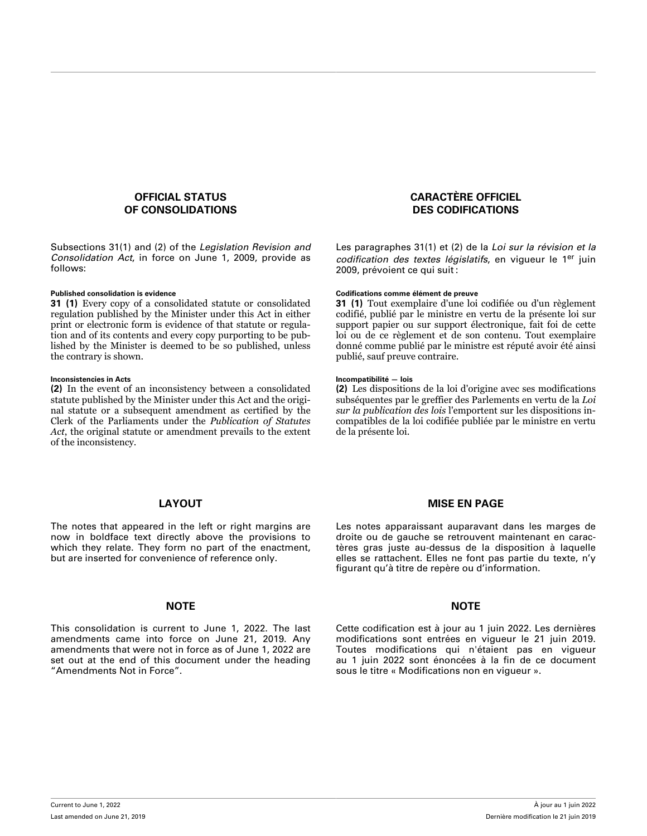### **OFFICIAL STATUS OF CONSOLIDATIONS**

Subsections 31(1) and (2) of the *Legislation Revision and Consolidation Act*, in force on June 1, 2009, provide as follows:

**31 (1)** Every copy of a consolidated statute or consolidated regulation published by the Minister under this Act in either print or electronic form is evidence of that statute or regulation and of its contents and every copy purporting to be published by the Minister is deemed to be so published, unless the contrary is shown.

### **Inconsistencies in Acts Incompatibilité — lois**

**(2)** In the event of an inconsistency between a consolidated statute published by the Minister under this Act and the original statute or a subsequent amendment as certified by the Clerk of the Parliaments under the *Publication of Statutes Act*, the original statute or amendment prevails to the extent of the inconsistency.

### **CARACTÈRE OFFICIEL DES CODIFICATIONS**

Les paragraphes 31(1) et (2) de la *Loi sur la révision et la codification des textes législatifs*, en vigueur le 1er juin 2009, prévoient ce qui suit :

### **Published consolidation is evidence Codifications comme élément de preuve**

**31 (1)** Tout exemplaire d'une loi codifiée ou d'un règlement codifié, publié par le ministre en vertu de la présente loi sur support papier ou sur support électronique, fait foi de cette loi ou de ce règlement et de son contenu. Tout exemplaire donné comme publié par le ministre est réputé avoir été ainsi publié, sauf preuve contraire.

**(2)** Les dispositions de la loi d'origine avec ses modifications subséquentes par le greffier des Parlements en vertu de la *Loi sur la publication des lois* l'emportent sur les dispositions incompatibles de la loi codifiée publiée par le ministre en vertu de la présente loi.

### **LAYOUT**

The notes that appeared in the left or right margins are now in boldface text directly above the provisions to which they relate. They form no part of the enactment, but are inserted for convenience of reference only.

### **NOTE NOTE**

This consolidation is current to June 1, 2022. The last amendments came into force on June 21, 2019. Any amendments that were not in force as of June 1, 2022 are set out at the end of this document under the heading "Amendments Not in Force".

### **MISE EN PAGE**

Les notes apparaissant auparavant dans les marges de droite ou de gauche se retrouvent maintenant en caractères gras juste au-dessus de la disposition à laquelle elles se rattachent. Elles ne font pas partie du texte, n'y figurant qu'à titre de repère ou d'information.

Cette codification est à jour au 1 juin 2022. Les dernières modifications sont entrées en vigueur le 21 juin 2019. Toutes modifications qui n'étaient pas en vigueur au 1 juin 2022 sont énoncées à la fin de ce document sous le titre « Modifications non en vigueur ».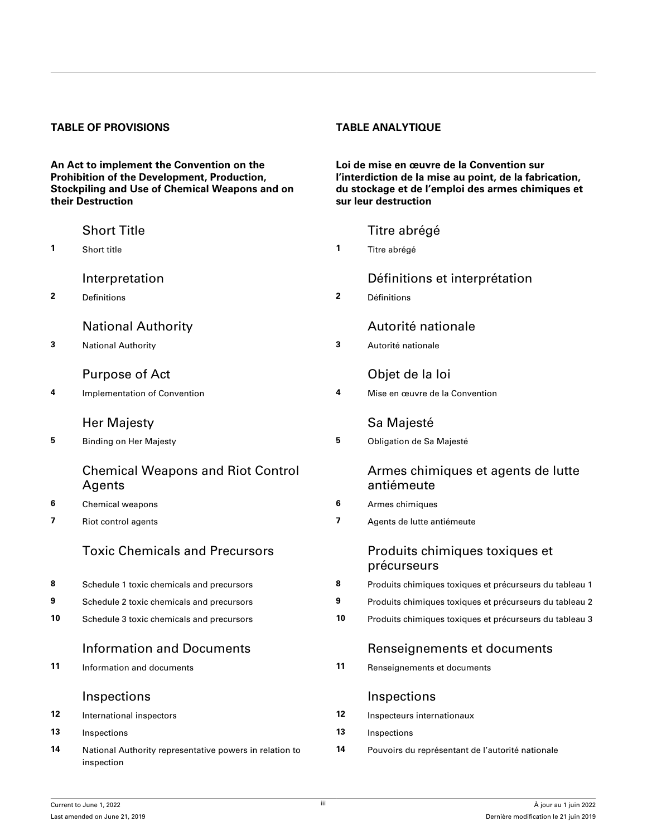### **TABLE OF PROVISIONS TABLE ANALYTIQUE**

**An Act to implement the Convention on the Prohibition of the Development, Production, Stockpiling and Use of Chemical Weapons and on their Destruction**

**2** [Definitions](#page-4-0) **2** [Définitions](#page-4-0)

### [National Authority](#page-5-0) **Autoritis** [Autorité nationale](#page-5-0)

**3** [National Authority](#page-5-0) **3** [Autorité nationale](#page-5-0)

### [Her Majesty](#page-6-0) **Samual Samual Samual Samual Samual Samual Samual Samual Samual Samual Samual Samual Samual Samual Samual Samual Samual Samual Samual Samual Samual Samual Samual Samual Samual Samual Samual Samual Samual Samual**

### [Chemical Weapons and Riot Control](#page-6-0) [Agents](#page-6-0)

- **6** [Chemical weapons](#page-6-0) **6** [Armes chimiques](#page-6-0)
- 

### [Toxic Chemicals and Precursors](#page-7-0) **[Produits chimiques toxiques et](#page-7-0)**

- 
- 
- 

**11** [Information and documents](#page-7-0) **11** [Renseignements et documents](#page-7-0)

| 12<br>International inspectors |  |
|--------------------------------|--|
|--------------------------------|--|

- **13** [Inspections](#page-8-0) **13** [Inspections](#page-8-0)
- **14** [National Authority representative powers in relation to](#page-9-0) [inspection](#page-9-0)

**Loi de mise en œuvre de la Convention sur l'interdiction de la mise au point, de la fabrication, du stockage et de l'emploi des armes chimiques et sur leur destruction**

### [Short Title](#page-4-0) **Title** [Titre abrégé](#page-4-0)

**1** [Short title](#page-4-0) **1** [Titre abrégé](#page-4-0)

### [Interpretation](#page-4-0) **Interpretation** [Définitions et interprétation](#page-4-0)

### [Purpose of Act](#page-6-0) **[Objet de la loi](#page-6-0)**

**4** [Implementation of Convention](#page-6-0) **4** [Mise en œuvre de la Convention](#page-6-0)

**5** [Binding on Her Majesty](#page-6-0) **5** [Obligation de Sa Majesté](#page-6-0)

### [Armes chimiques et agents de lutte](#page-6-0) [antiémeute](#page-6-0)

- 
- **7** [Riot control agents](#page-6-0) **7** [Agents de lutte antiémeute](#page-6-0)

# [précurseurs](#page-7-0)

- **8** [Schedule 1 toxic chemicals and precursors](#page-7-0) **8** [Produits chimiques toxiques et précurseurs du tableau 1](#page-7-0)
- **9** [Schedule 2 toxic chemicals and precursors](#page-7-0) **9** [Produits chimiques toxiques et précurseurs du tableau 2](#page-7-0)
- **10** [Schedule 3 toxic chemicals and precursors](#page-7-0) **10** [Produits chimiques toxiques et précurseurs du tableau 3](#page-7-0)

### [Information and Documents](#page-7-0) **Renseignements** et documents

### [Inspections](#page-8-0) **Inspections**

- **12** [Inspecteurs internationaux](#page-8-0)
- 
- **14** [Pouvoirs du représentant de l'autorité nationale](#page-9-0)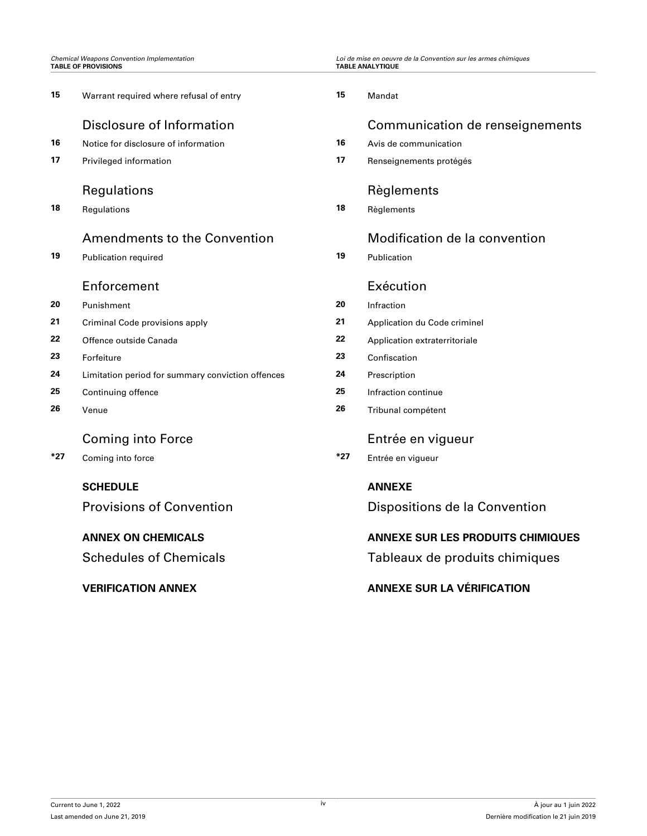| 15  | Warrant required where refusal of entry           | 15  | Mandat                                   |
|-----|---------------------------------------------------|-----|------------------------------------------|
|     | Disclosure of Information                         |     | Communication de renseignements          |
| 16  | Notice for disclosure of information              | 16  | Avis de communication                    |
| 17  | Privileged information                            | 17  | Renseignements protégés                  |
|     | Regulations                                       |     | Règlements                               |
| 18  | Regulations                                       | 18  | Règlements                               |
|     | Amendments to the Convention                      |     | Modification de la convention            |
| 19  | Publication required                              | 19  | Publication                              |
|     | Enforcement                                       |     | Exécution                                |
| 20  | Punishment                                        | 20  | Infraction                               |
| 21  | Criminal Code provisions apply                    | 21  | Application du Code criminel             |
| 22  | Offence outside Canada                            | 22  | Application extraterritoriale            |
| 23  | Forfeiture                                        | 23  | Confiscation                             |
| 24  | Limitation period for summary conviction offences | 24  | Prescription                             |
| 25  | Continuing offence                                | 25  | Infraction continue                      |
| 26  | Venue                                             | 26  | Tribunal compétent                       |
|     | <b>Coming into Force</b>                          |     | Entrée en vigueur                        |
| *27 | Coming into force                                 | *27 | Entrée en vigueur                        |
|     | <b>SCHEDULE</b>                                   |     | <b>ANNEXE</b>                            |
|     | <b>Provisions of Convention</b>                   |     | Dispositions de la Convention            |
|     | <b>ANNEX ON CHEMICALS</b>                         |     | <b>ANNEXE SUR LES PRODUITS CHIMIQUES</b> |
|     | <b>Schedules of Chemicals</b>                     |     | Tableaux de produits chimiques           |
|     | <b>VERIFICATION ANNEX</b>                         |     | <b>ANNEXE SUR LA VÉRIFICATION</b>        |

*Chemical Weapons Convention Implementation Loi de mise en oeuvre de la Convention sur les armes chimiques*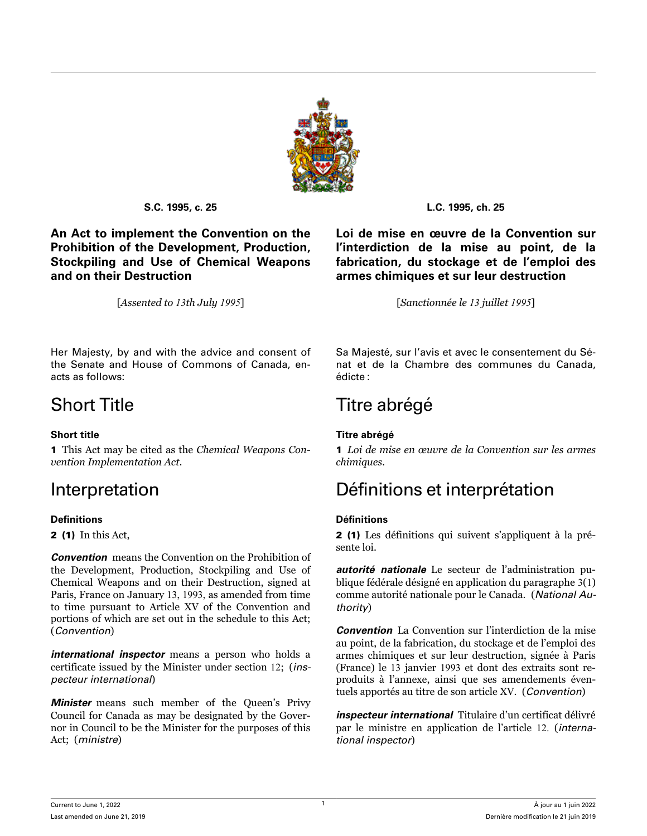

### <span id="page-4-0"></span>**An Act to implement the Convention on the Prohibition of the Development, Production, Stockpiling and Use of Chemical Weapons and on their Destruction**

Her Majesty, by and with the advice and consent of the Senate and House of Commons of Canada, enacts as follows:

1 This Act may be cited as the *Chemical Weapons Convention Implementation Act*.

### **Definitions Définitions**

2 (1) In this Act,

*Convention* means the Convention on the Prohibition of the Development, Production, Stockpiling and Use of Chemical Weapons and on their Destruction, signed at Paris, France on January 13, 1993, as amended from time to time pursuant to Article XV of the Convention and portions of which are set out in the schedule to this Act; (*Convention*)

*international inspector* means a person who holds a certificate issued by the Minister under section 12; (*inspecteur international*)

*Minister* means such member of the Queen's Privy Council for Canada as may be designated by the Governor in Council to be the Minister for the purposes of this Act; (*ministre*)

**S.C. 1995, c. 25 L.C. 1995, ch. 25**

**Loi de mise en œuvre de la Convention sur l'interdiction de la mise au point, de la fabrication, du stockage et de l'emploi des armes chimiques et sur leur destruction**

[*Assented to 13th July 1995*] [*Sanctionnée le 13 juillet 1995*]

Sa Majesté, sur l'avis et avec le consentement du Sénat et de la Chambre des communes du Canada, édicte :

# Short Title Titre abrégé

### **Short title Titre abrégé**

1 *Loi de mise en œuvre de la Convention sur les armes chimiques*.

# Interpretation Définitions et interprétation

2 (1) Les définitions qui suivent s'appliquent à la présente loi.

*autorité nationale* Le secteur de l'administration publique fédérale désigné en application du paragraphe 3(1) comme autorité nationale pour le Canada. (*National Authority*)

*Convention* La Convention sur l'interdiction de la mise au point, de la fabrication, du stockage et de l'emploi des armes chimiques et sur leur destruction, signée à Paris (France) le 13 janvier 1993 et dont des extraits sont reproduits à l'annexe, ainsi que ses amendements éventuels apportés au titre de son article XV. (*Convention*)

*inspecteur international* Titulaire d'un certificat délivré par le ministre en application de l'article 12. (*international inspector*)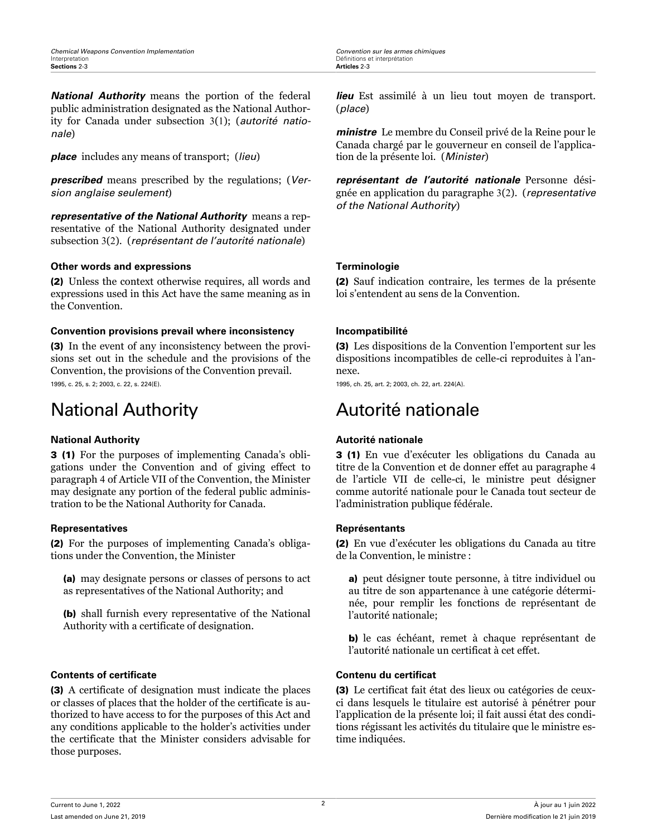<span id="page-5-0"></span>*National Authority* means the portion of the federal public administration designated as the National Authority for Canada under subsection 3(1); (*autorité nationale*)

*place* includes any means of transport; (*lieu*)

*prescribed* means prescribed by the regulations; (*Version anglaise seulement*)

*representative of the National Authority* means a representative of the National Authority designated under subsection 3(2). (*représentant de l'autorité nationale*)

### **Other words and expressions Terminologie**

(2) Unless the context otherwise requires, all words and expressions used in this Act have the same meaning as in the Convention.

### **Convention provisions prevail where inconsistency Incompatibilité**

(3) In the event of any inconsistency between the provisions set out in the schedule and the provisions of the Convention, the provisions of the Convention prevail. 1995, c. 25, s. 2; 2003, c. 22, s. 224(E).

### **National Authority Autorité nationale**

3 (1) For the purposes of implementing Canada's obligations under the Convention and of giving effect to paragraph 4 of Article VII of the Convention, the Minister may designate any portion of the federal public administration to be the National Authority for Canada.

### **Representatives Représentants**

(2) For the purposes of implementing Canada's obligations under the Convention, the Minister

(a) may designate persons or classes of persons to act as representatives of the National Authority; and

(b) shall furnish every representative of the National Authority with a certificate of designation.

### **Contents of certificate Contenu du certificat**

(3) A certificate of designation must indicate the places or classes of places that the holder of the certificate is authorized to have access to for the purposes of this Act and any conditions applicable to the holder's activities under the certificate that the Minister considers advisable for those purposes.

*lieu* Est assimilé à un lieu tout moyen de transport. (*place*)

*ministre* Le membre du Conseil privé de la Reine pour le Canada chargé par le gouverneur en conseil de l'application de la présente loi. (*Minister*)

*représentant de l'autorité nationale* Personne désignée en application du paragraphe 3(2). (*representative of the National Authority*)

(2) Sauf indication contraire, les termes de la présente loi s'entendent au sens de la Convention.

(3) Les dispositions de la Convention l'emportent sur les dispositions incompatibles de celle-ci reproduites à l'annexe.

1995, ch. 25, art. 2; 2003, ch. 22, art. 224(A).

# National Authority **Autorite nationale**

3 (1) En vue d'exécuter les obligations du Canada au titre de la Convention et de donner effet au paragraphe 4 de l'article VII de celle-ci, le ministre peut désigner comme autorité nationale pour le Canada tout secteur de l'administration publique fédérale.

(2) En vue d'exécuter les obligations du Canada au titre de la Convention, le ministre :

a) peut désigner toute personne, à titre individuel ou au titre de son appartenance à une catégorie déterminée, pour remplir les fonctions de représentant de l'autorité nationale;

b) le cas échéant, remet à chaque représentant de l'autorité nationale un certificat à cet effet.

(3) Le certificat fait état des lieux ou catégories de ceuxci dans lesquels le titulaire est autorisé à pénétrer pour l'application de la présente loi; il fait aussi état des conditions régissant les activités du titulaire que le ministre estime indiquées.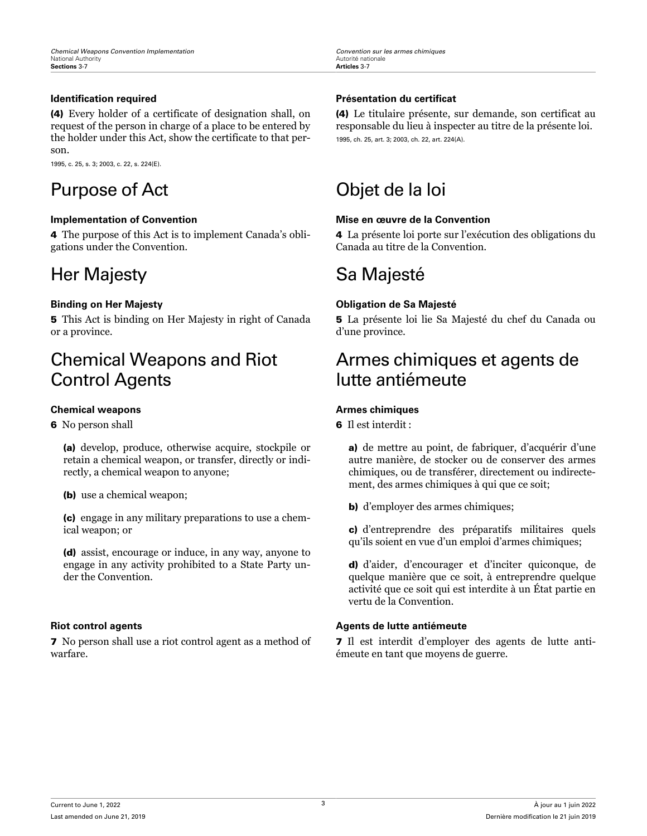(4) Every holder of a certificate of designation shall, on request of the person in charge of a place to be entered by the holder under this Act, show the certificate to that person.

1995, c. 25, s. 3; 2003, c. 22, s. 224(E).

# Purpose of Act **Objet de la loi**

4 The purpose of this Act is to implement Canada's obligations under the Convention.

# Her Majesty Sa Majesté

5 This Act is binding on Her Majesty in right of Canada or a province.

# Chemical Weapons and Riot Control Agents

### **Chemical weapons Armes chimiques**

6 No person shall

(a) develop, produce, otherwise acquire, stockpile or retain a chemical weapon, or transfer, directly or indirectly, a chemical weapon to anyone;

(b) use a chemical weapon;

(c) engage in any military preparations to use a chemical weapon; or

(d) assist, encourage or induce, in any way, anyone to engage in any activity prohibited to a State Party under the Convention.

7 No person shall use a riot control agent as a method of warfare.

### <span id="page-6-0"></span>**Identification required Présentation du certificat**

(4) Le titulaire présente, sur demande, son certificat au responsable du lieu à inspecter au titre de la présente loi. 1995, ch. 25, art. 3; 2003, ch. 22, art. 224(A).

### **Implementation of Convention Mise en œuvre de la Convention**

4 La présente loi porte sur l'exécution des obligations du Canada au titre de la Convention.

### **Binding on Her Majesty Obligation de Sa Majesté**

5 La présente loi lie Sa Majesté du chef du Canada ou d'une province.

## Armes chimiques et agents de lutte antiémeute

6 Il est interdit :

a) de mettre au point, de fabriquer, d'acquérir d'une autre manière, de stocker ou de conserver des armes chimiques, ou de transférer, directement ou indirectement, des armes chimiques à qui que ce soit;

b) d'employer des armes chimiques;

c) d'entreprendre des préparatifs militaires quels qu'ils soient en vue d'un emploi d'armes chimiques;

d) d'aider, d'encourager et d'inciter quiconque, de quelque manière que ce soit, à entreprendre quelque activité que ce soit qui est interdite à un État partie en vertu de la Convention.

### **Riot control agents Agents de lutte antiémeute**

7 Il est interdit d'employer des agents de lutte antiémeute en tant que moyens de guerre.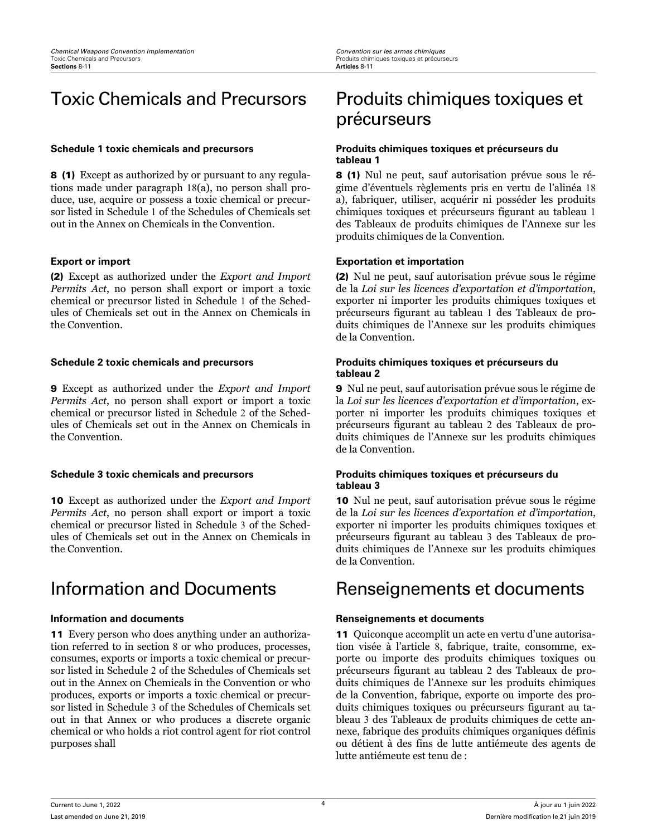# <span id="page-7-0"></span>Toxic Chemicals and Precursors Produits chimiques toxiques et

8 (1) Except as authorized by or pursuant to any regulations made under paragraph 18(a), no person shall produce, use, acquire or possess a toxic chemical or precursor listed in Schedule 1 of the Schedules of Chemicals set out in the Annex on Chemicals in the Convention.

(2) Except as authorized under the *Export and Import Permits Act*, no person shall export or import a toxic chemical or precursor listed in Schedule 1 of the Schedules of Chemicals set out in the Annex on Chemicals in the Convention.

9 Except as authorized under the *Export and Import Permits Act*, no person shall export or import a toxic chemical or precursor listed in Schedule 2 of the Schedules of Chemicals set out in the Annex on Chemicals in the Convention.

10 Except as authorized under the *Export and Import Permits Act*, no person shall export or import a toxic chemical or precursor listed in Schedule 3 of the Schedules of Chemicals set out in the Annex on Chemicals in the Convention.

11 Every person who does anything under an authorization referred to in section 8 or who produces, processes, consumes, exports or imports a toxic chemical or precursor listed in Schedule 2 of the Schedules of Chemicals set out in the Annex on Chemicals in the Convention or who produces, exports or imports a toxic chemical or precursor listed in Schedule 3 of the Schedules of Chemicals set out in that Annex or who produces a discrete organic chemical or who holds a riot control agent for riot control purposes shall

# précurseurs

### **Schedule 1 toxic chemicals and precursors Produits chimiques toxiques et précurseurs du tableau 1**

8 (1) Nul ne peut, sauf autorisation prévue sous le régime d'éventuels règlements pris en vertu de l'alinéa 18 a), fabriquer, utiliser, acquérir ni posséder les produits chimiques toxiques et précurseurs figurant au tableau 1 des Tableaux de produits chimiques de l'Annexe sur les produits chimiques de la Convention.

### **Export or import Exportation et importation**

(2) Nul ne peut, sauf autorisation prévue sous le régime de la *Loi sur les licences d'exportation et d'importation*, exporter ni importer les produits chimiques toxiques et précurseurs figurant au tableau 1 des Tableaux de produits chimiques de l'Annexe sur les produits chimiques de la Convention.

### **Schedule 2 toxic chemicals and precursors Produits chimiques toxiques et précurseurs du tableau 2**

9 Nul ne peut, sauf autorisation prévue sous le régime de la *Loi sur les licences d'exportation et d'importation*, exporter ni importer les produits chimiques toxiques et précurseurs figurant au tableau 2 des Tableaux de produits chimiques de l'Annexe sur les produits chimiques de la Convention.

### **Schedule 3 toxic chemicals and precursors Produits chimiques toxiques et précurseurs du tableau 3**

10 Nul ne peut, sauf autorisation prévue sous le régime de la *Loi sur les licences d'exportation et d'importation*, exporter ni importer les produits chimiques toxiques et précurseurs figurant au tableau 3 des Tableaux de produits chimiques de l'Annexe sur les produits chimiques de la Convention.

# Information and Documents Renseignements et documents

### **Information and documents Renseignements et documents**

11 Quiconque accomplit un acte en vertu d'une autorisation visée à l'article 8, fabrique, traite, consomme, exporte ou importe des produits chimiques toxiques ou précurseurs figurant au tableau 2 des Tableaux de produits chimiques de l'Annexe sur les produits chimiques de la Convention, fabrique, exporte ou importe des produits chimiques toxiques ou précurseurs figurant au tableau 3 des Tableaux de produits chimiques de cette annexe, fabrique des produits chimiques organiques définis ou détient à des fins de lutte antiémeute des agents de lutte antiémeute est tenu de :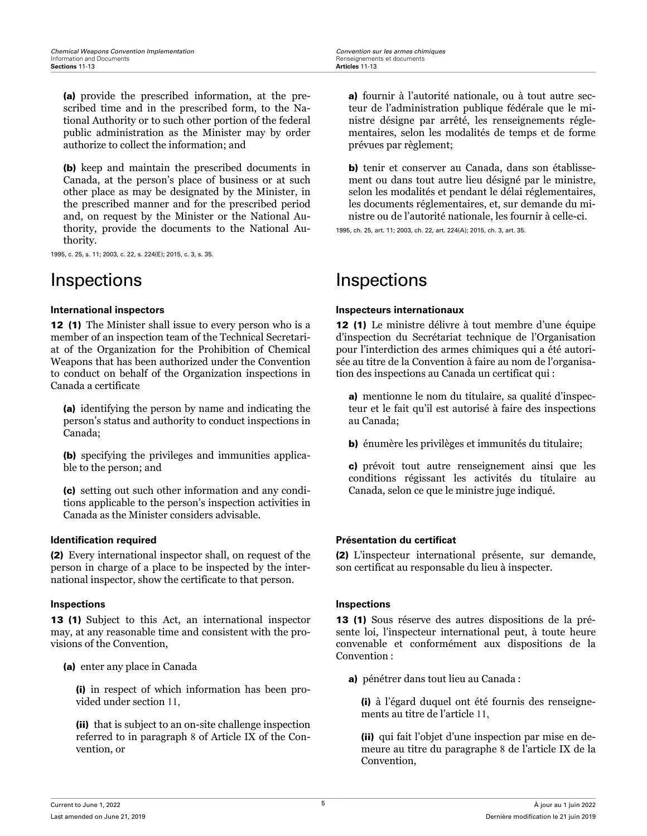<span id="page-8-0"></span>(a) provide the prescribed information, at the prescribed time and in the prescribed form, to the National Authority or to such other portion of the federal public administration as the Minister may by order authorize to collect the information; and

(b) keep and maintain the prescribed documents in Canada, at the person's place of business or at such other place as may be designated by the Minister, in the prescribed manner and for the prescribed period and, on request by the Minister or the National Authority, provide the documents to the National Authority.

1995, c. 25, s. 11; 2003, c. 22, s. 224(E); 2015, c. 3, s. 35.

## Inspections Inspections

12 (1) The Minister shall issue to every person who is a member of an inspection team of the Technical Secretariat of the Organization for the Prohibition of Chemical Weapons that has been authorized under the Convention to conduct on behalf of the Organization inspections in Canada a certificate

(a) identifying the person by name and indicating the person's status and authority to conduct inspections in Canada;

(b) specifying the privileges and immunities applicable to the person; and

(c) setting out such other information and any conditions applicable to the person's inspection activities in Canada as the Minister considers advisable.

(2) Every international inspector shall, on request of the person in charge of a place to be inspected by the international inspector, show the certificate to that person.

### **Inspections Inspections**

13 (1) Subject to this Act, an international inspector may, at any reasonable time and consistent with the provisions of the Convention,

(a) enter any place in Canada

(i) in respect of which information has been provided under section 11,

(ii) that is subject to an on-site challenge inspection referred to in paragraph 8 of Article IX of the Convention, or

a) fournir à l'autorité nationale, ou à tout autre secteur de l'administration publique fédérale que le ministre désigne par arrêté, les renseignements réglementaires, selon les modalités de temps et de forme prévues par règlement;

b) tenir et conserver au Canada, dans son établissement ou dans tout autre lieu désigné par le ministre, selon les modalités et pendant le délai réglementaires, les documents réglementaires, et, sur demande du ministre ou de l'autorité nationale, les fournir à celle-ci.

1995, ch. 25, art. 11; 2003, ch. 22, art. 224(A); 2015, ch. 3, art. 35.

### **International inspectors Inspecteurs internationaux**

12 (1) Le ministre délivre à tout membre d'une équipe d'inspection du Secrétariat technique de l'Organisation pour l'interdiction des armes chimiques qui a été autorisée au titre de la Convention à faire au nom de l'organisation des inspections au Canada un certificat qui :

a) mentionne le nom du titulaire, sa qualité d'inspecteur et le fait qu'il est autorisé à faire des inspections au Canada;

b) énumère les privilèges et immunités du titulaire;

c) prévoit tout autre renseignement ainsi que les conditions régissant les activités du titulaire au Canada, selon ce que le ministre juge indiqué.

### **Identification required Présentation du certificat**

(2) L'inspecteur international présente, sur demande, son certificat au responsable du lieu à inspecter.

13 (1) Sous réserve des autres dispositions de la présente loi, l'inspecteur international peut, à toute heure convenable et conformément aux dispositions de la Convention :

a) pénétrer dans tout lieu au Canada :

(i) à l'égard duquel ont été fournis des renseignements au titre de l'article 11,

(ii) qui fait l'objet d'une inspection par mise en demeure au titre du paragraphe 8 de l'article IX de la Convention,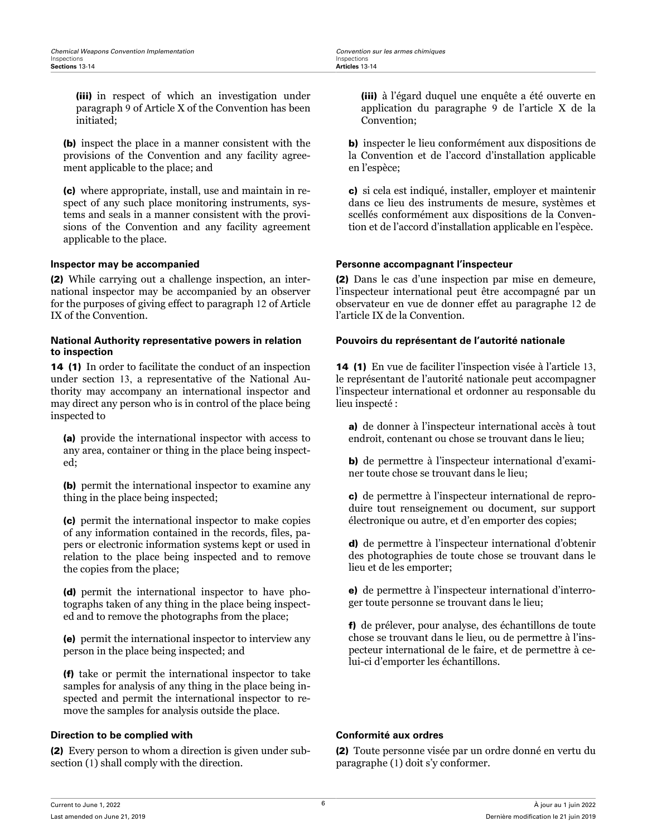<span id="page-9-0"></span>(iii) in respect of which an investigation under paragraph 9 of Article X of the Convention has been initiated;

(b) inspect the place in a manner consistent with the provisions of the Convention and any facility agreement applicable to the place; and

(c) where appropriate, install, use and maintain in respect of any such place monitoring instruments, systems and seals in a manner consistent with the provisions of the Convention and any facility agreement applicable to the place.

(2) While carrying out a challenge inspection, an international inspector may be accompanied by an observer for the purposes of giving effect to paragraph 12 of Article IX of the Convention.

### **National Authority representative powers in relation to inspection**

14 (1) In order to facilitate the conduct of an inspection under section 13, a representative of the National Authority may accompany an international inspector and may direct any person who is in control of the place being inspected to

(a) provide the international inspector with access to any area, container or thing in the place being inspected;

(b) permit the international inspector to examine any thing in the place being inspected;

(c) permit the international inspector to make copies of any information contained in the records, files, papers or electronic information systems kept or used in relation to the place being inspected and to remove the copies from the place;

(d) permit the international inspector to have photographs taken of any thing in the place being inspected and to remove the photographs from the place;

(e) permit the international inspector to interview any person in the place being inspected; and

(f) take or permit the international inspector to take samples for analysis of any thing in the place being inspected and permit the international inspector to remove the samples for analysis outside the place.

### **Direction to be complied with Conformité aux ordres**

(2) Every person to whom a direction is given under subsection (1) shall comply with the direction.

(iii) à l'égard duquel une enquête a été ouverte en application du paragraphe 9 de l'article X de la Convention;

b) inspecter le lieu conformément aux dispositions de la Convention et de l'accord d'installation applicable en l'espèce;

c) si cela est indiqué, installer, employer et maintenir dans ce lieu des instruments de mesure, systèmes et scellés conformément aux dispositions de la Convention et de l'accord d'installation applicable en l'espèce.

### **Inspector may be accompanied Personne accompagnant l'inspecteur**

(2) Dans le cas d'une inspection par mise en demeure, l'inspecteur international peut être accompagné par un observateur en vue de donner effet au paragraphe 12 de l'article IX de la Convention.

### **Pouvoirs du représentant de l'autorité nationale**

14 (1) En vue de faciliter l'inspection visée à l'article 13, le représentant de l'autorité nationale peut accompagner l'inspecteur international et ordonner au responsable du lieu inspecté :

a) de donner à l'inspecteur international accès à tout endroit, contenant ou chose se trouvant dans le lieu;

b) de permettre à l'inspecteur international d'examiner toute chose se trouvant dans le lieu;

c) de permettre à l'inspecteur international de reproduire tout renseignement ou document, sur support électronique ou autre, et d'en emporter des copies;

d) de permettre à l'inspecteur international d'obtenir des photographies de toute chose se trouvant dans le lieu et de les emporter;

e) de permettre à l'inspecteur international d'interroger toute personne se trouvant dans le lieu;

f) de prélever, pour analyse, des échantillons de toute chose se trouvant dans le lieu, ou de permettre à l'inspecteur international de le faire, et de permettre à celui-ci d'emporter les échantillons.

(2) Toute personne visée par un ordre donné en vertu du paragraphe (1) doit s'y conformer.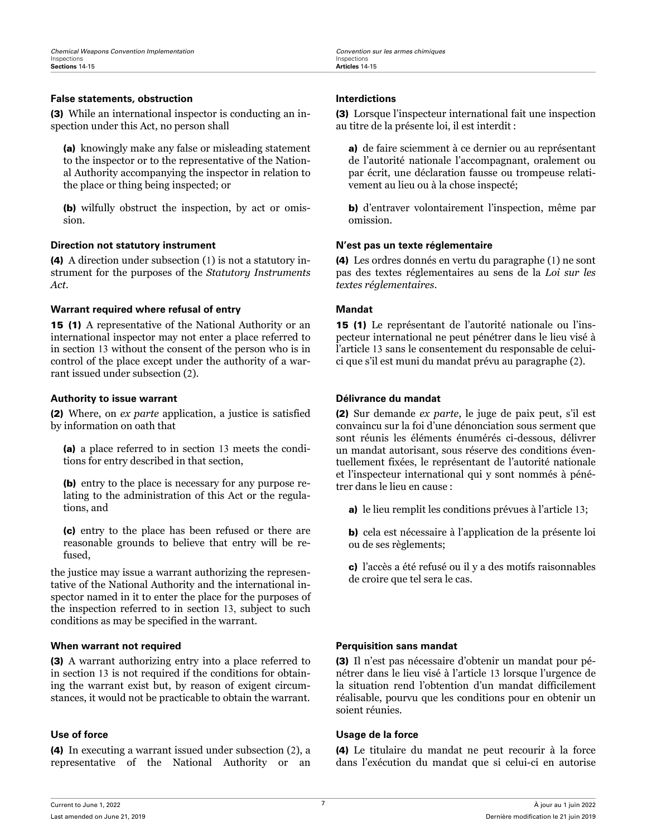### <span id="page-10-0"></span>**False statements, obstruction Interdictions**

(3) While an international inspector is conducting an inspection under this Act, no person shall

(a) knowingly make any false or misleading statement to the inspector or to the representative of the National Authority accompanying the inspector in relation to the place or thing being inspected; or

(b) wilfully obstruct the inspection, by act or omission.

### **Direction not statutory instrument N'est pas un texte réglementaire**

(4) A direction under subsection (1) is not a statutory instrument for the purposes of the *Statutory Instruments Act*.

### **Warrant required where refusal of entry measurement in Mandat**

15 (1) A representative of the National Authority or an international inspector may not enter a place referred to in section 13 without the consent of the person who is in control of the place except under the authority of a warrant issued under subsection (2).

### **Authority to issue warrant Délivrance du mandat**

(2) Where, on *ex parte* application, a justice is satisfied by information on oath that

(a) a place referred to in section 13 meets the conditions for entry described in that section,

(b) entry to the place is necessary for any purpose relating to the administration of this Act or the regulations, and

(c) entry to the place has been refused or there are reasonable grounds to believe that entry will be refused,

the justice may issue a warrant authorizing the representative of the National Authority and the international inspector named in it to enter the place for the purposes of the inspection referred to in section 13, subject to such conditions as may be specified in the warrant.

### **When warrant not required <b>Perquisition** sans mandat

(3) A warrant authorizing entry into a place referred to in section 13 is not required if the conditions for obtaining the warrant exist but, by reason of exigent circumstances, it would not be practicable to obtain the warrant.

(4) In executing a warrant issued under subsection (2), a representative of the National Authority or an

(3) Lorsque l'inspecteur international fait une inspection au titre de la présente loi, il est interdit :

a) de faire sciemment à ce dernier ou au représentant de l'autorité nationale l'accompagnant, oralement ou par écrit, une déclaration fausse ou trompeuse relativement au lieu ou à la chose inspecté;

b) d'entraver volontairement l'inspection, même par omission.

(4) Les ordres donnés en vertu du paragraphe (1) ne sont pas des textes réglementaires au sens de la *Loi sur les textes réglementaires*.

15 (1) Le représentant de l'autorité nationale ou l'inspecteur international ne peut pénétrer dans le lieu visé à l'article 13 sans le consentement du responsable de celuici que s'il est muni du mandat prévu au paragraphe (2).

(2) Sur demande *ex parte*, le juge de paix peut, s'il est convaincu sur la foi d'une dénonciation sous serment que sont réunis les éléments énumérés ci-dessous, délivrer un mandat autorisant, sous réserve des conditions éventuellement fixées, le représentant de l'autorité nationale et l'inspecteur international qui y sont nommés à pénétrer dans le lieu en cause :

a) le lieu remplit les conditions prévues à l'article 13;

b) cela est nécessaire à l'application de la présente loi ou de ses règlements;

c) l'accès a été refusé ou il y a des motifs raisonnables de croire que tel sera le cas.

(3) Il n'est pas nécessaire d'obtenir un mandat pour pénétrer dans le lieu visé à l'article 13 lorsque l'urgence de la situation rend l'obtention d'un mandat difficilement réalisable, pourvu que les conditions pour en obtenir un soient réunies.

### **Use of force Usage de la force**

(4) Le titulaire du mandat ne peut recourir à la force dans l'exécution du mandat que si celui-ci en autorise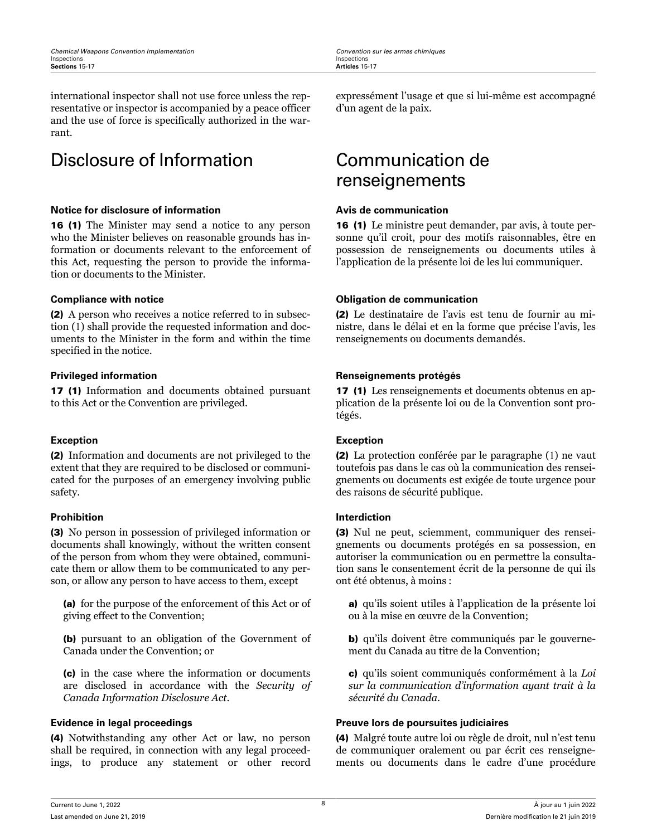<span id="page-11-0"></span>international inspector shall not use force unless the representative or inspector is accompanied by a peace officer and the use of force is specifically authorized in the warrant.

# Disclosure of Information Communication de

### **Notice for disclosure of information Avis de communication**

16 (1) The Minister may send a notice to any person who the Minister believes on reasonable grounds has information or documents relevant to the enforcement of this Act, requesting the person to provide the information or documents to the Minister.

(2) A person who receives a notice referred to in subsection (1) shall provide the requested information and documents to the Minister in the form and within the time specified in the notice.

17 (1) Information and documents obtained pursuant to this Act or the Convention are privileged.

### **Exception Exception**

(2) Information and documents are not privileged to the extent that they are required to be disclosed or communicated for the purposes of an emergency involving public safety.

### **Prohibition Interdiction**

(3) No person in possession of privileged information or documents shall knowingly, without the written consent of the person from whom they were obtained, communicate them or allow them to be communicated to any person, or allow any person to have access to them, except

(a) for the purpose of the enforcement of this Act or of giving effect to the Convention;

(b) pursuant to an obligation of the Government of Canada under the Convention; or

(c) in the case where the information or documents are disclosed in accordance with the *Security of Canada Information Disclosure Act*.

(4) Notwithstanding any other Act or law, no person shall be required, in connection with any legal proceedings, to produce any statement or other record expressément l'usage et que si lui-même est accompagné d'un agent de la paix.

# renseignements

16 (1) Le ministre peut demander, par avis, à toute personne qu'il croit, pour des motifs raisonnables, être en possession de renseignements ou documents utiles à l'application de la présente loi de les lui communiquer.

### **Compliance with notice Obligation de communication**

(2) Le destinataire de l'avis est tenu de fournir au ministre, dans le délai et en la forme que précise l'avis, les renseignements ou documents demandés.

### **Privileged information**

17 (1) Les renseignements et documents obtenus en application de la présente loi ou de la Convention sont protégés.

(2) La protection conférée par le paragraphe (1) ne vaut toutefois pas dans le cas où la communication des renseignements ou documents est exigée de toute urgence pour des raisons de sécurité publique.

(3) Nul ne peut, sciemment, communiquer des renseignements ou documents protégés en sa possession, en autoriser la communication ou en permettre la consultation sans le consentement écrit de la personne de qui ils ont été obtenus, à moins :

a) qu'ils soient utiles à l'application de la présente loi ou à la mise en œuvre de la Convention;

b) qu'ils doivent être communiqués par le gouvernement du Canada au titre de la Convention;

c) qu'ils soient communiqués conformément à la *Loi sur la communication d'information ayant trait à la sécurité du Canada*.

### **Evidence in legal proceedings Preuve lors de poursuites judiciaires**

(4) Malgré toute autre loi ou règle de droit, nul n'est tenu de communiquer oralement ou par écrit ces renseignements ou documents dans le cadre d'une procédure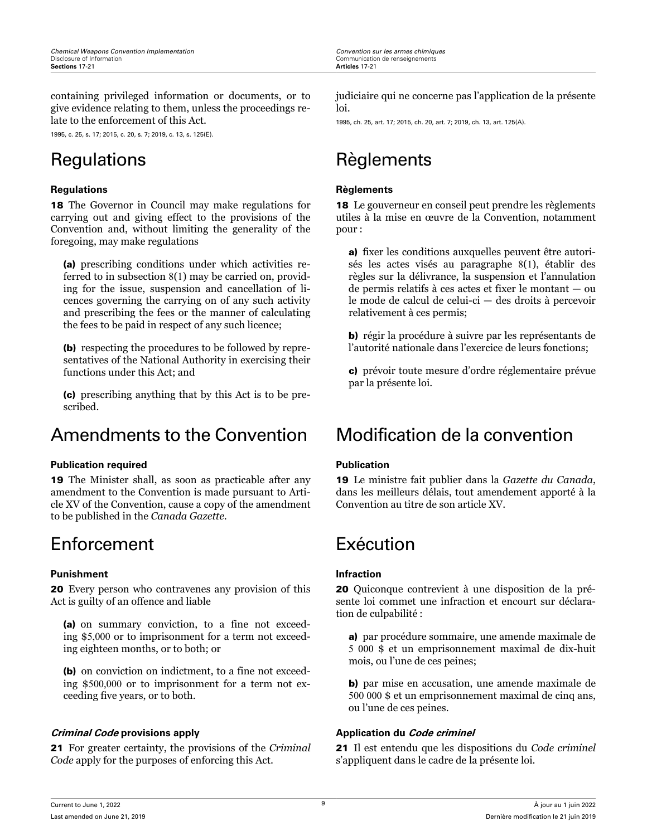<span id="page-12-0"></span>containing privileged information or documents, or to give evidence relating to them, unless the proceedings relate to the enforcement of this Act.

1995, c. 25, s. 17; 2015, c. 20, s. 7; 2019, c. 13, s. 125(E).

# Regulations Règlements

18 The Governor in Council may make regulations for carrying out and giving effect to the provisions of the Convention and, without limiting the generality of the foregoing, may make regulations

(a) prescribing conditions under which activities referred to in subsection 8(1) may be carried on, providing for the issue, suspension and cancellation of licences governing the carrying on of any such activity and prescribing the fees or the manner of calculating the fees to be paid in respect of any such licence;

(b) respecting the procedures to be followed by representatives of the National Authority in exercising their functions under this Act; and

(c) prescribing anything that by this Act is to be prescribed.

## Amendments to the Convention Modification de la convention

### **Publication required Publication**

19 The Minister shall, as soon as practicable after any amendment to the Convention is made pursuant to Article XV of the Convention, cause a copy of the amendment to be published in the *Canada Gazette*.

# Enforcement Exécution

### **Punishment Infraction**

20 Every person who contravenes any provision of this Act is guilty of an offence and liable

(a) on summary conviction, to a fine not exceeding \$5,000 or to imprisonment for a term not exceeding eighteen months, or to both; or

(b) on conviction on indictment, to a fine not exceeding \$500,000 or to imprisonment for a term not exceeding five years, or to both.

### **Criminal Code provisions apply Application du Code criminel**

21 For greater certainty, the provisions of the *Criminal Code* apply for the purposes of enforcing this Act.

judiciaire qui ne concerne pas l'application de la présente loi.

1995, ch. 25, art. 17; 2015, ch. 20, art. 7; 2019, ch. 13, art. 125(A).

### **Regulations Règlements**

18 Le gouverneur en conseil peut prendre les règlements utiles à la mise en œuvre de la Convention, notamment pour :

a) fixer les conditions auxquelles peuvent être autorisés les actes visés au paragraphe 8(1), établir des règles sur la délivrance, la suspension et l'annulation de permis relatifs à ces actes et fixer le montant — ou le mode de calcul de celui-ci — des droits à percevoir relativement à ces permis;

b) régir la procédure à suivre par les représentants de l'autorité nationale dans l'exercice de leurs fonctions;

c) prévoir toute mesure d'ordre réglementaire prévue par la présente loi.

19 Le ministre fait publier dans la *Gazette du Canada*, dans les meilleurs délais, tout amendement apporté à la Convention au titre de son article XV.

20 Quiconque contrevient à une disposition de la présente loi commet une infraction et encourt sur déclaration de culpabilité :

a) par procédure sommaire, une amende maximale de 5 000 \$ et un emprisonnement maximal de dix-huit mois, ou l'une de ces peines;

b) par mise en accusation, une amende maximale de 500 000 \$ et un emprisonnement maximal de cinq ans, ou l'une de ces peines.

21 Il est entendu que les dispositions du *Code criminel* s'appliquent dans le cadre de la présente loi.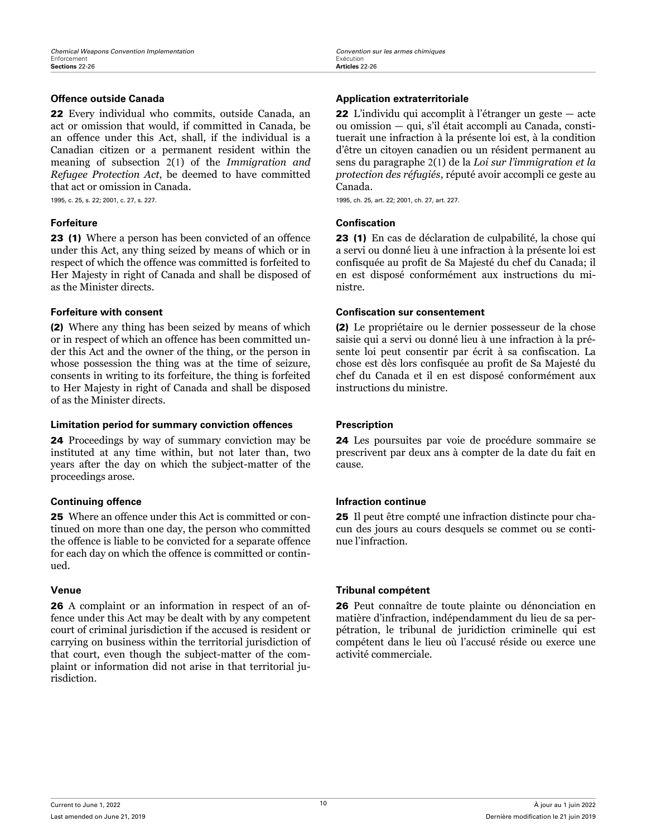22 Every individual who commits, outside Canada, an act or omission that would, if committed in Canada, be an offence under this Act, shall, if the individual is a Canadian citizen or a permanent resident within the meaning of subsection 2(1) of the *Immigration and Refugee Protection Act*, be deemed to have committed that act or omission in Canada.

1995, c. 25, s. 22; 2001, c. 27, s. 227.

23 (1) Where a person has been convicted of an offence under this Act, any thing seized by means of which or in respect of which the offence was committed is forfeited to Her Majesty in right of Canada and shall be disposed of as the Minister directs.

(2) Where any thing has been seized by means of which or in respect of which an offence has been committed under this Act and the owner of the thing, or the person in whose possession the thing was at the time of seizure, consents in writing to its forfeiture, the thing is forfeited to Her Majesty in right of Canada and shall be disposed of as the Minister directs.

### **Limitation period for summary conviction offences Prescription**

24 Proceedings by way of summary conviction may be instituted at any time within, but not later than, two years after the day on which the subject-matter of the proceedings arose.

### **Continuing offence Infraction continue**

25 Where an offence under this Act is committed or continued on more than one day, the person who committed the offence is liable to be convicted for a separate offence for each day on which the offence is committed or continued.

26 A complaint or an information in respect of an offence under this Act may be dealt with by any competent court of criminal jurisdiction if the accused is resident or carrying on business within the territorial jurisdiction of that court, even though the subject-matter of the complaint or information did not arise in that territorial jurisdiction.

### <span id="page-13-0"></span>**Offence outside Canada Application extraterritoriale Application extraterritoriale**

22 L'individu qui accomplit à l'étranger un geste — acte ou omission — qui, s'il était accompli au Canada, constituerait une infraction à la présente loi est, à la condition d'être un citoyen canadien ou un résident permanent au sens du paragraphe 2(1) de la *Loi sur l'immigration et la protection des réfugiés*, réputé avoir accompli ce geste au Canada.

1995, ch. 25, art. 22; 2001, ch. 27, art. 227.

### **Forfeiture Confiscation**

23 (1) En cas de déclaration de culpabilité, la chose qui a servi ou donné lieu à une infraction à la présente loi est confisquée au profit de Sa Majesté du chef du Canada; il en est disposé conformément aux instructions du ministre.

### **Forfeiture with consent Confiscation sur consentement**

(2) Le propriétaire ou le dernier possesseur de la chose saisie qui a servi ou donné lieu à une infraction à la présente loi peut consentir par écrit à sa confiscation. La chose est dès lors confisquée au profit de Sa Majesté du chef du Canada et il en est disposé conformément aux instructions du ministre.

24 Les poursuites par voie de procédure sommaire se prescrivent par deux ans à compter de la date du fait en cause.

25 Il peut être compté une infraction distincte pour chacun des jours au cours desquels se commet ou se continue l'infraction.

### **Venue Tribunal compétent**

26 Peut connaître de toute plainte ou dénonciation en matière d'infraction, indépendamment du lieu de sa perpétration, le tribunal de juridiction criminelle qui est compétent dans le lieu où l'accusé réside ou exerce une activité commerciale.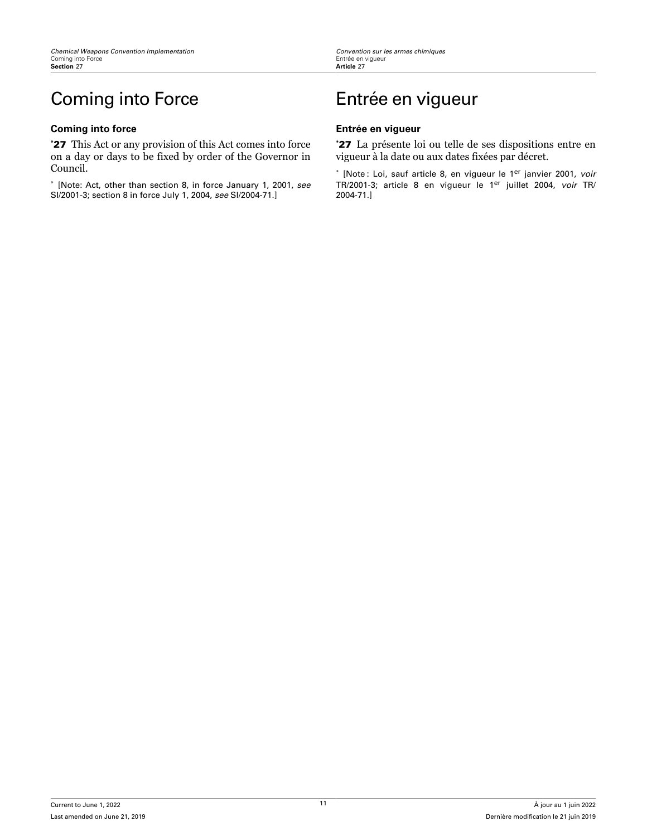# <span id="page-14-0"></span>Coming into Force **Entrée en vigueur**

### **Coming into force Entrée en vigueur**

\*27 This Act or any provision of this Act comes into force on a day or days to be fixed by order of the Governor in Council.

\* [Note: Act, other than section 8, in force January 1, 2001, *see* SI/2001-3; section 8 in force July 1, 2004, *see* SI/2004-71.]

\*27 La présente loi ou telle de ses dispositions entre en vigueur à la date ou aux dates fixées par décret.

\* [Note : Loi, sauf article 8, en vigueur le 1er janvier 2001, *voir* TR/2001-3; article 8 en vigueur le 1er juillet 2004, *voir* TR/ 2004-71.]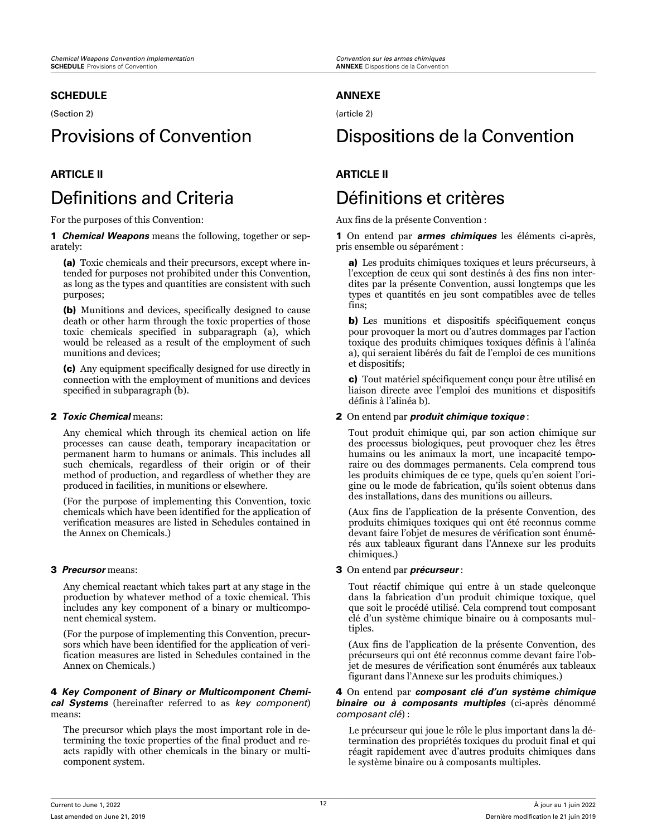### <span id="page-15-0"></span>**SCHEDULE**

(Section 2)

# Definitions and Criteria Définitions et critères

For the purposes of this Convention: Aux fins de la présente Convention :

1 *Chemical Weapons* means the following, together or separately:

(a) Toxic chemicals and their precursors, except where intended for purposes not prohibited under this Convention, as long as the types and quantities are consistent with such purposes;

(b) Munitions and devices, specifically designed to cause death or other harm through the toxic properties of those toxic chemicals specified in subparagraph (a), which would be released as a result of the employment of such munitions and devices;

(c) Any equipment specifically designed for use directly in connection with the employment of munitions and devices specified in subparagraph (b).

### 2 *Toxic Chemical* means:

Any chemical which through its chemical action on life processes can cause death, temporary incapacitation or permanent harm to humans or animals. This includes all such chemicals, regardless of their origin or of their method of production, and regardless of whether they are produced in facilities, in munitions or elsewhere.

(For the purpose of implementing this Convention, toxic chemicals which have been identified for the application of verification measures are listed in Schedules contained in the Annex on Chemicals.)

### 3 *Precursor* means:

Any chemical reactant which takes part at any stage in the production by whatever method of a toxic chemical. This includes any key component of a binary or multicomponent chemical system.

(For the purpose of implementing this Convention, precursors which have been identified for the application of verification measures are listed in Schedules contained in the Annex on Chemicals.)

4 *Key Component of Binary or Multicomponent Chemical Systems* (hereinafter referred to as *key component*) means:

The precursor which plays the most important role in determining the toxic properties of the final product and reacts rapidly with other chemicals in the binary or multicomponent system.

### **ANNEXE**

(article 2)

# Provisions of Convention Dispositions de la Convention

### **ARTICLE II ARTICLE II**

1 On entend par *armes chimiques* les éléments ci-après, pris ensemble ou séparément :

a) Les produits chimiques toxiques et leurs précurseurs, à l'exception de ceux qui sont destinés à des fins non interdites par la présente Convention, aussi longtemps que les types et quantités en jeu sont compatibles avec de telles fins;

b) Les munitions et dispositifs spécifiquement conçus pour provoquer la mort ou d'autres dommages par l'action toxique des produits chimiques toxiques définis à l'alinéa a), qui seraient libérés du fait de l'emploi de ces munitions et dispositifs;

c) Tout matériel spécifiquement conçu pour être utilisé en liaison directe avec l'emploi des munitions et dispositifs définis à l'alinéa b).

### 2 On entend par *produit chimique toxique* :

Tout produit chimique qui, par son action chimique sur des processus biologiques, peut provoquer chez les êtres humains ou les animaux la mort, une incapacité temporaire ou des dommages permanents. Cela comprend tous les produits chimiques de ce type, quels qu'en soient l'origine ou le mode de fabrication, qu'ils soient obtenus dans des installations, dans des munitions ou ailleurs.

(Aux fins de l'application de la présente Convention, des produits chimiques toxiques qui ont été reconnus comme devant faire l'objet de mesures de vérification sont énumérés aux tableaux figurant dans l'Annexe sur les produits chimiques.)

3 On entend par *précurseur* :

Tout réactif chimique qui entre à un stade quelconque dans la fabrication d'un produit chimique toxique, quel que soit le procédé utilisé. Cela comprend tout composant clé d'un système chimique binaire ou à composants multiples.

(Aux fins de l'application de la présente Convention, des précurseurs qui ont été reconnus comme devant faire l'objet de mesures de vérification sont énumérés aux tableaux figurant dans l'Annexe sur les produits chimiques.)

### 4 On entend par *composant clé d'un système chimique binaire ou à composants multiples* (ci-après dénommé *composant clé*) :

Le précurseur qui joue le rôle le plus important dans la détermination des propriétés toxiques du produit final et qui réagit rapidement avec d'autres produits chimiques dans le système binaire ou à composants multiples.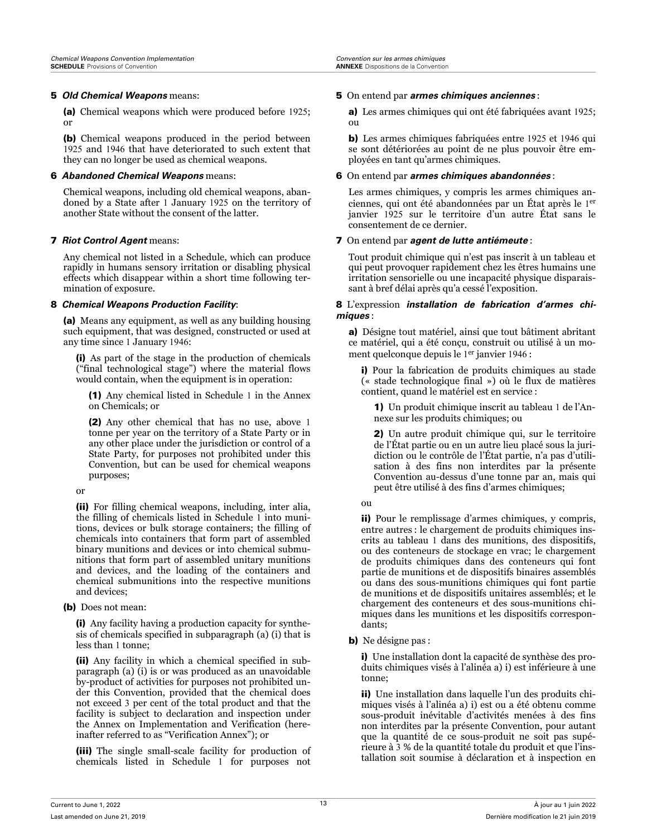### 5 *Old Chemical Weapons* means:

(a) Chemical weapons which were produced before 1925; or

(b) Chemical weapons produced in the period between 1925 and 1946 that have deteriorated to such extent that they can no longer be used as chemical weapons.

### 6 *Abandoned Chemical Weapons* means:

Chemical weapons, including old chemical weapons, abandoned by a State after 1 January 1925 on the territory of another State without the consent of the latter.

### 7 *Riot Control Agent* means:

Any chemical not listed in a Schedule, which can produce rapidly in humans sensory irritation or disabling physical effects which disappear within a short time following termination of exposure.

### 8 *Chemical Weapons Production Facility*:

(a) Means any equipment, as well as any building housing such equipment, that was designed, constructed or used at any time since 1 January 1946:

(i) As part of the stage in the production of chemicals ("final technological stage") where the material flows would contain, when the equipment is in operation:

(1) Any chemical listed in Schedule 1 in the Annex on Chemicals; or

(2) Any other chemical that has no use, above 1 tonne per year on the territory of a State Party or in any other place under the jurisdiction or control of a State Party, for purposes not prohibited under this Convention, but can be used for chemical weapons purposes;

or

(ii) For filling chemical weapons, including, inter alia, the filling of chemicals listed in Schedule 1 into munitions, devices or bulk storage containers; the filling of chemicals into containers that form part of assembled binary munitions and devices or into chemical submunitions that form part of assembled unitary munitions and devices, and the loading of the containers and chemical submunitions into the respective munitions and devices;

(b) Does not mean:

(i) Any facility having a production capacity for synthesis of chemicals specified in subparagraph (a) (i) that is less than 1 tonne;

(ii) Any facility in which a chemical specified in subparagraph (a) (i) is or was produced as an unavoidable by-product of activities for purposes not prohibited under this Convention, provided that the chemical does not exceed 3 per cent of the total product and that the facility is subject to declaration and inspection under the Annex on Implementation and Verification (hereinafter referred to as "Verification Annex"); or

(iii) The single small-scale facility for production of chemicals listed in Schedule 1 for purposes not

### 5 On entend par *armes chimiques anciennes* :

a) Les armes chimiques qui ont été fabriquées avant 1925; ou

b) Les armes chimiques fabriquées entre 1925 et 1946 qui se sont détériorées au point de ne plus pouvoir être employées en tant qu'armes chimiques.

### 6 On entend par *armes chimiques abandonnées* :

Les armes chimiques, y compris les armes chimiques anciennes, qui ont été abandonnées par un État après le 1 er janvier 1925 sur le territoire d'un autre État sans le consentement de ce dernier.

### 7 On entend par *agent de lutte antiémeute* :

Tout produit chimique qui n'est pas inscrit à un tableau et qui peut provoquer rapidement chez les êtres humains une irritation sensorielle ou une incapacité physique disparaissant à bref délai après qu'a cessé l'exposition.

### 8 L'expression *installation de fabrication d'armes chimiques* :

a) Désigne tout matériel, ainsi que tout bâtiment abritant ce matériel, qui a été conçu, construit ou utilisé à un moment quelconque depuis le 1<sup>er</sup> janvier 1946 :

i) Pour la fabrication de produits chimiques au stade (« stade technologique final ») où le flux de matières contient, quand le matériel est en service :

1) Un produit chimique inscrit au tableau 1 de l'Annexe sur les produits chimiques; ou

2) Un autre produit chimique qui, sur le territoire de l'État partie ou en un autre lieu placé sous la juridiction ou le contrôle de l'État partie, n'a pas d'utilisation à des fins non interdites par la présente Convention au-dessus d'une tonne par an, mais qui peut être utilisé à des fins d'armes chimiques;

ii) Pour le remplissage d'armes chimiques, y compris, entre autres : le chargement de produits chimiques inscrits au tableau 1 dans des munitions, des dispositifs, ou des conteneurs de stockage en vrac; le chargement de produits chimiques dans des conteneurs qui font partie de munitions et de dispositifs binaires assemblés ou dans des sous-munitions chimiques qui font partie de munitions et de dispositifs unitaires assemblés; et le chargement des conteneurs et des sous-munitions chimiques dans les munitions et les dispositifs correspondants;

b) Ne désigne pas :

i) Une installation dont la capacité de synthèse des produits chimiques visés à l'alinéa a) i) est inférieure à une tonne;

ii) Une installation dans laquelle l'un des produits chimiques visés à l'alinéa a) i) est ou a été obtenu comme sous-produit inévitable d'activités menées à des fins non interdites par la présente Convention, pour autant que la quantité de ce sous-produit ne soit pas supérieure à 3 % de la quantité totale du produit et que l'installation soit soumise à déclaration et à inspection en

ou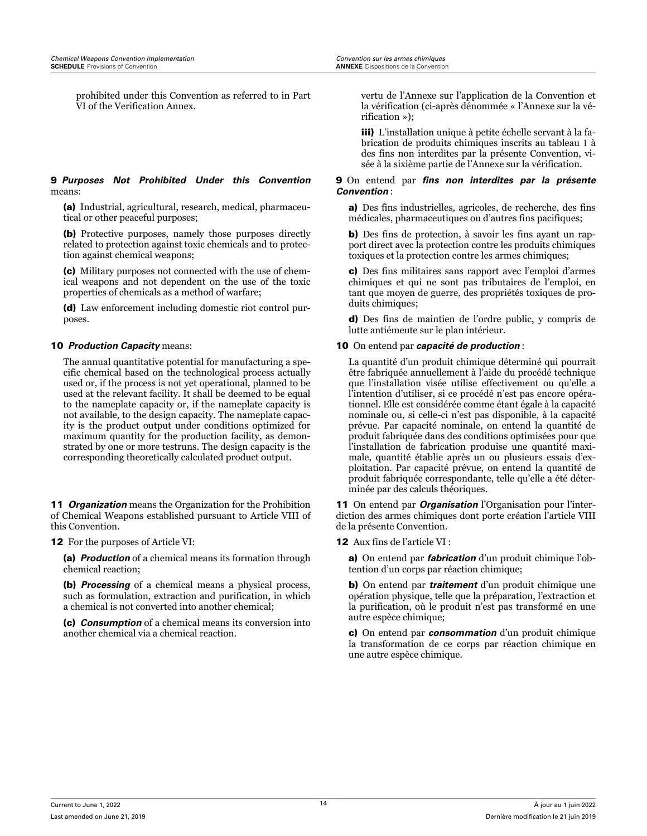**ANNEXE** Dispositions de la Convention

prohibited under this Convention as referred to in Part VI of the Verification Annex.

### 9 *Purposes Not Prohibited Under this Convention* means:

(a) Industrial, agricultural, research, medical, pharmaceutical or other peaceful purposes;

(b) Protective purposes, namely those purposes directly related to protection against toxic chemicals and to protection against chemical weapons;

(c) Military purposes not connected with the use of chemical weapons and not dependent on the use of the toxic properties of chemicals as a method of warfare;

(d) Law enforcement including domestic riot control purposes.

### 10 *Production Capacity* means:

The annual quantitative potential for manufacturing a specific chemical based on the technological process actually used or, if the process is not yet operational, planned to be used at the relevant facility. It shall be deemed to be equal to the nameplate capacity or, if the nameplate capacity is not available, to the design capacity. The nameplate capacity is the product output under conditions optimized for maximum quantity for the production facility, as demonstrated by one or more testruns. The design capacity is the corresponding theoretically calculated product output.

11 *Organization* means the Organization for the Prohibition of Chemical Weapons established pursuant to Article VIII of this Convention.

12 For the purposes of Article VI:

(a) *Production* of a chemical means its formation through chemical reaction;

(b) *Processing* of a chemical means a physical process, such as formulation, extraction and purification, in which a chemical is not converted into another chemical;

(c) *Consumption* of a chemical means its conversion into another chemical via a chemical reaction.

vertu de l'Annexe sur l'application de la Convention et la vérification (ci-après dénommée « l'Annexe sur la vérification »);

iii) L'installation unique à petite échelle servant à la fabrication de produits chimiques inscrits au tableau 1 à des fins non interdites par la présente Convention, visée à la sixième partie de l'Annexe sur la vérification.

### 9 On entend par *fins non interdites par la présente Convention* :

a) Des fins industrielles, agricoles, de recherche, des fins médicales, pharmaceutiques ou d'autres fins pacifiques;

b) Des fins de protection, à savoir les fins ayant un rapport direct avec la protection contre les produits chimiques toxiques et la protection contre les armes chimiques;

c) Des fins militaires sans rapport avec l'emploi d'armes chimiques et qui ne sont pas tributaires de l'emploi, en tant que moyen de guerre, des propriétés toxiques de produits chimiques;

d) Des fins de maintien de l'ordre public, y compris de lutte antiémeute sur le plan intérieur.

### 10 On entend par *capacité de production* :

La quantité d'un produit chimique déterminé qui pourrait être fabriquée annuellement à l'aide du procédé technique que l'installation visée utilise effectivement ou qu'elle a l'intention d'utiliser, si ce procédé n'est pas encore opérationnel. Elle est considérée comme étant égale à la capacité nominale ou, si celle-ci n'est pas disponible, à la capacité prévue. Par capacité nominale, on entend la quantité de produit fabriquée dans des conditions optimisées pour que l'installation de fabrication produise une quantité maximale, quantité établie après un ou plusieurs essais d'exploitation. Par capacité prévue, on entend la quantité de produit fabriquée correspondante, telle qu'elle a été déterminée par des calculs théoriques.

11 On entend par *Organisation* l'Organisation pour l'interdiction des armes chimiques dont porte création l'article VIII de la présente Convention.

### 12 Aux fins de l'article VI :

a) On entend par *fabrication* d'un produit chimique l'obtention d'un corps par réaction chimique;

b) On entend par *traitement* d'un produit chimique une opération physique, telle que la préparation, l'extraction et la purification, où le produit n'est pas transformé en une autre espèce chimique;

c) On entend par *consommation* d'un produit chimique la transformation de ce corps par réaction chimique en une autre espèce chimique.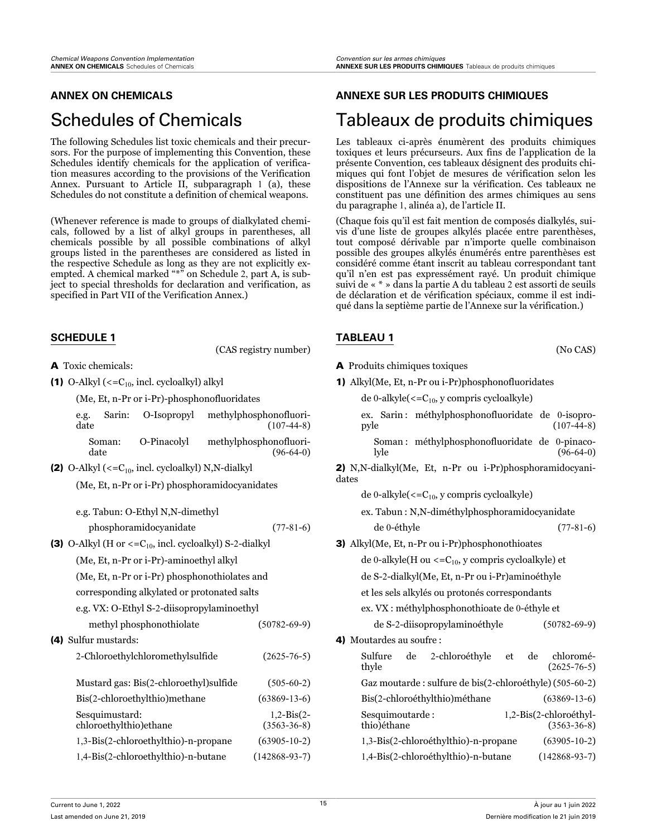The following Schedules list toxic chemicals and their precursors. For the purpose of implementing this Convention, these Schedules identify chemicals for the application of verification measures according to the provisions of the Verification Annex. Pursuant to Article II, subparagraph 1 (a), these Schedules do not constitute a definition of chemical weapons.

(Whenever reference is made to groups of dialkylated chemicals, followed by a list of alkyl groups in parentheses, all chemicals possible by all possible combinations of alkyl groups listed in the parentheses are considered as listed in the respective Schedule as long as they are not explicitly exempted. A chemical marked "\*" on Schedule 2, part A, is subject to special thresholds for declaration and verification, as specified in Part VII of the Verification Annex.)

### **SCHEDULE 1 TABLEAU 1**

(CAS registry number) (No CAS)

- A Toxic chemicals:
- (1) O-Alkyl ( $\langle$ =C<sub>10</sub>, incl. cycloalkyl) alkyl

(Me, Et, n-Pr or i-Pr)-phosphonofluoridates

| e.g.<br>date | Sarin: | O-Isopropyl | methylphosphonofluori-<br>$(107-44-8)$ |
|--------------|--------|-------------|----------------------------------------|
| date         | Soman: | O-Pinacolyl | methylphosphonofluori-<br>$(96-64-0)$  |

(2) O-Alkyl ( $\leq$   $C_{10}$ , incl. cycloalkyl) N,N-dialkyl

| e.g. Tabun: O-Ethyl N,N-dimethyl                                             |                                      | ex. Tabun: N,N-dir                |
|------------------------------------------------------------------------------|--------------------------------------|-----------------------------------|
| phosphoramidocyanidate                                                       | $(77-81-6)$                          | de 0-éthyle                       |
| (3) O-Alkyl (H or $\langle$ =C <sub>10</sub> , incl. cycloalkyl) S-2-dialkyl |                                      | <b>3)</b> Alkyl(Me, Et, n-Pr ou   |
| (Me, Et, n-Pr or i-Pr)-aminoethyl alkyl                                      |                                      | $de 0$ -alkyle $(Hou \le$         |
| (Me, Et, n-Pr or i-Pr) phosphonothiolates and                                |                                      | de S-2-dialkyl(Me,                |
| corresponding alkylated or protonated salts                                  |                                      | et les sels alkylés ou            |
| e.g. VX: O-Ethyl S-2-diisopropylaminoethyl                                   |                                      | ex. VX : méthylpho                |
| methyl phosphonothiolate                                                     | $(50782 - 69 - 9)$                   | de S-2-diisoprop                  |
| (4) Sulfur mustards:                                                         |                                      | 4) Moutardes au soufre :          |
| 2-Chloroethylchloromethylsulfide                                             | $(2625 - 76 - 5)$                    | Sulfure<br>de<br>$2 - c$<br>thyle |
| Mustard gas: Bis(2-chloroethyl)sulfide                                       | $(505-60-2)$                         | Gaz moutarde: sult                |
| Bis(2-chloroethylthio)methane                                                | $(63869-13-6)$                       | Bis(2-chloroéthylth               |
| Sesquimustard:<br>chloroethylthio) ethane                                    | $1.2 - Bis(2 -$<br>$(3563 - 36 - 8)$ | Sesquimoutarde:<br>thio) é thane  |
| 1,3-Bis(2-chloroethylthio)-n-propane                                         | $(63905 - 10 - 2)$                   | 1,3-Bis(2-chloroéth               |
| 1.4-Bis(2-chloroethylthio)-n-butane                                          | $(142868 - 93 - 7)$                  | 1.4-Bis(2-chloroéth               |

### <span id="page-18-0"></span>**ANNEX ON CHEMICALS ANNEXE SUR LES PRODUITS CHIMIQUES**

# Schedules of Chemicals Tableaux de produits chimiques

Les tableaux ci-après énumèrent des produits chimiques toxiques et leurs précurseurs. Aux fins de l'application de la présente Convention, ces tableaux désignent des produits chimiques qui font l'objet de mesures de vérification selon les dispositions de l'Annexe sur la vérification. Ces tableaux ne constituent pas une définition des armes chimiques au sens du paragraphe 1, alinéa a), de l'article II.

(Chaque fois qu'il est fait mention de composés dialkylés, suivis d'une liste de groupes alkylés placée entre parenthèses, tout composé dérivable par n'importe quelle combinaison possible des groupes alkylés énumérés entre parenthèses est considéré comme étant inscrit au tableau correspondant tant qu'il n'en est pas expressément rayé. Un produit chimique suivi de « \* » dans la partie A du tableau 2 est assorti de seuils de déclaration et de vérification spéciaux, comme il est indiqué dans la septième partie de l'Annexe sur la vérification.)

|  | <b>A</b> Produits chimiques toxiques |  |
|--|--------------------------------------|--|

1) Alkyl(Me, Et, n-Pr ou i-Pr)phosphonofluoridates

de 0-alkyle( $\langle =C_{10}$ , y compris cycloalkyle)

| Sarin:<br>e.g.<br>date | O-Isopropyl                                                                | methylphosphonofluori- | $(107-44-8)$ | pyle                             |    | ex. Sarin: méthylphosphonofluoridate de 0-isopro-             |    |    | $(107-44-8)$                                |
|------------------------|----------------------------------------------------------------------------|------------------------|--------------|----------------------------------|----|---------------------------------------------------------------|----|----|---------------------------------------------|
| Soman:<br>date         | O-Pinacolyl                                                                | methylphosphonofluori- | $(96-64-0)$  | lyle                             |    | Soman: méthylphosphonofluoridate de 0-pinaco-                 |    |    | $(96-64-0)$                                 |
|                        | -Alkyl $\left(\langle =C_{10}, \text{incl. cycloalkyl}\right)$ N,N-dialkyl |                        |              |                                  |    | 2) N,N-dialkyl(Me, Et, n-Pr ou i-Pr)phosphoramidocyani-       |    |    |                                             |
|                        | (Me, Et, n-Pr or i-Pr) phosphoramidocyanidates                             |                        | dates        |                                  |    | de 0-alkyle( $\leq$ =C <sub>10</sub> , y compris cycloalkyle) |    |    |                                             |
|                        | e.g. Tabun: O-Ethyl N,N-dimethyl                                           |                        |              |                                  |    | ex. Tabun: N,N-diméthylphosphoramidocyanidate                 |    |    |                                             |
|                        | phosphoramidocyanidate                                                     |                        | $(77-81-6)$  | de 0-éthyle                      |    |                                                               |    |    | $(77-81-6)$                                 |
|                        | -Alkyl (H or $\langle$ =C <sub>10</sub> , incl. cycloalkyl) S-2-dialkyl    |                        |              |                                  |    | 3) Alkyl(Me, Et, n-Pr ou i-Pr)phosphonothioates               |    |    |                                             |
|                        | (Me, Et, n-Pr or i-Pr)-aminoethyl alkyl                                    |                        |              |                                  |    | de 0-alkyle(H ou $\lt=C_{10}$ , y compris cycloalkyle) et     |    |    |                                             |
|                        | (Me, Et, n-Pr or i-Pr) phosphonothiolates and                              |                        |              |                                  |    | de S-2-dialkyl(Me, Et, n-Pr ou i-Pr)aminoéthyle               |    |    |                                             |
|                        | corresponding alkylated or protonated salts                                |                        |              |                                  |    | et les sels alkylés ou protonés correspondants                |    |    |                                             |
|                        | e.g. VX: O-Ethyl S-2-diisopropylaminoethyl                                 |                        |              |                                  |    | ex. VX : méthylphosphonothioate de 0-éthyle et                |    |    |                                             |
|                        | methyl phosphonothiolate                                                   | $(50782 - 69 - 9)$     |              |                                  |    | de S-2-diisopropylaminoéthyle                                 |    |    | $(50782 - 69 - 9)$                          |
| ılfur mustards:        |                                                                            |                        |              | 4) Moutardes au soufre :         |    |                                                               |    |    |                                             |
|                        | 2-Chloroethylchloromethylsulfide                                           | $(2625 - 76 - 5)$      |              | Sulfure<br>thyle                 | de | 2-chloroéthyle                                                | et | de | chloromé-<br>$(2625 - 76 - 5)$              |
|                        | Mustard gas: Bis(2-chloroethyl)sulfide                                     |                        | $(505-60-2)$ |                                  |    | Gaz moutarde : sulfure de bis(2-chloroéthyle) (505-60-2)      |    |    |                                             |
|                        | Bis(2-chloroethylthio)methane                                              | $(63869-13-6)$         |              |                                  |    | Bis(2-chloroéthylthio)méthane                                 |    |    | $(63869 - 13 - 6)$                          |
| Sesquimustard:         | chloroethylthio)ethane                                                     | $(3563 - 36 - 8)$      | $1,2-Bis(2-$ | Sesquimoutarde:<br>thio) é thane |    |                                                               |    |    | 1,2-Bis(2-chloroéthyl-<br>$(3563 - 36 - 8)$ |
|                        | 1,3-Bis(2-chloroethylthio)-n-propane                                       | $(63905 - 10 - 2)$     |              |                                  |    | 1,3-Bis(2-chloroéthylthio)-n-propane                          |    |    | $(63905 - 10 - 2)$                          |
|                        | 1,4-Bis(2-chloroethylthio)-n-butane                                        | $(142868 - 93 - 7)$    |              |                                  |    | 1,4-Bis(2-chloroéthylthio)-n-butane                           |    |    | $(142868 - 93 - 7)$                         |
|                        |                                                                            |                        |              |                                  |    |                                                               |    |    |                                             |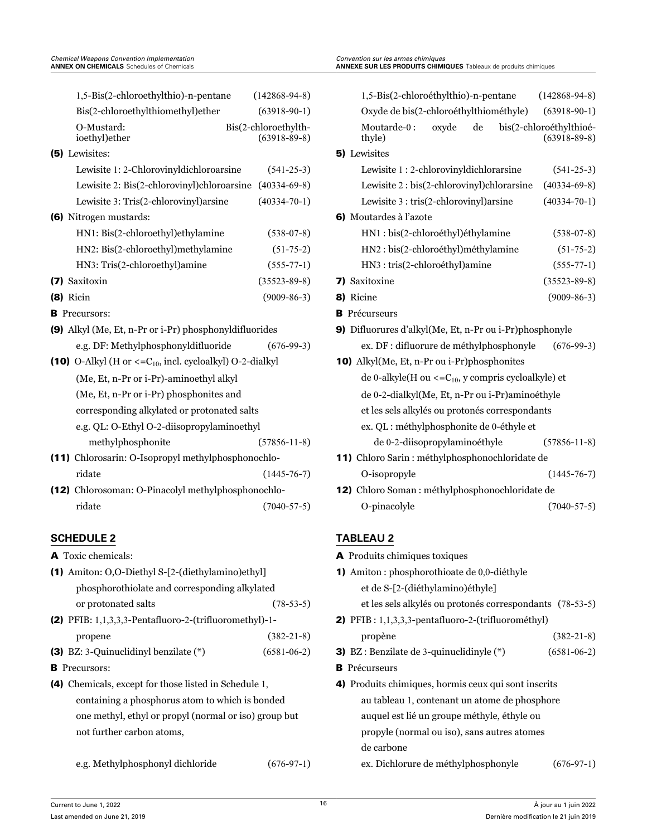| 1,5-Bis(2-chloroethylthio)-n-pentane<br>$(142868 - 94 - 8)$                    | 1,5-Bis(2-chloroéthylthio)-n-pentane               | $(142868 - 94 - 8)$                                                                                                                                                                                                                                                                                                                                                                                                                                                          |
|--------------------------------------------------------------------------------|----------------------------------------------------|------------------------------------------------------------------------------------------------------------------------------------------------------------------------------------------------------------------------------------------------------------------------------------------------------------------------------------------------------------------------------------------------------------------------------------------------------------------------------|
| Bis(2-chloroethylthiomethyl)ether<br>$(63918-90-1)$                            | Oxyde de bis(2-chloroéthylthiométhyle)             | $(63918-90-1)$                                                                                                                                                                                                                                                                                                                                                                                                                                                               |
| Bis(2-chloroethylth-<br>$(63918 - 89 - 8)$                                     | Moutarde-0:<br>oxyde<br>de<br>thyle)               | bis(2-chloroéthylthioé-<br>$(63918 - 89 - 8)$                                                                                                                                                                                                                                                                                                                                                                                                                                |
|                                                                                | 5) Lewisites                                       |                                                                                                                                                                                                                                                                                                                                                                                                                                                                              |
| Lewisite 1: 2-Chlorovinyldichloroarsine<br>$(541 - 25 - 3)$                    | Lewisite 1:2-chlorovinyldichlorarsine              | $(541 - 25 - 3)$                                                                                                                                                                                                                                                                                                                                                                                                                                                             |
| Lewisite 2: Bis(2-chlorovinyl)chloroarsine (40334-69-8)                        |                                                    | $(40334 - 69 - 8)$                                                                                                                                                                                                                                                                                                                                                                                                                                                           |
| Lewisite 3: Tris(2-chlorovinyl)arsine<br>$(40334 - 70 - 1)$                    | Lewisite 3 : tris(2-chlorovinyl)arsine             | $(40334 - 70 - 1)$                                                                                                                                                                                                                                                                                                                                                                                                                                                           |
|                                                                                | 6) Moutardes à l'azote                             |                                                                                                                                                                                                                                                                                                                                                                                                                                                                              |
| HN1: Bis(2-chloroethyl)ethylamine<br>$(538-07-8)$                              | HN1: bis(2-chloroéthyl)éthylamine                  | $(538-07-8)$                                                                                                                                                                                                                                                                                                                                                                                                                                                                 |
| HN2: Bis(2-chloroethyl)methylamine<br>$(51-75-2)$                              | HN2: bis(2-chloroéthyl)méthylamine                 | $(51 - 75 - 2)$                                                                                                                                                                                                                                                                                                                                                                                                                                                              |
| HN3: Tris(2-chloroethyl)amine<br>$(555 - 77 - 1)$                              | HN3: tris(2-chloroéthyl)amine                      | $(555 - 77 - 1)$                                                                                                                                                                                                                                                                                                                                                                                                                                                             |
| $(35523 - 89 - 8)$                                                             | 7) Saxitoxine                                      | $(35523 - 89 - 8)$                                                                                                                                                                                                                                                                                                                                                                                                                                                           |
| $(9009 - 86 - 3)$                                                              | 8) Ricine                                          | $(9009 - 86 - 3)$                                                                                                                                                                                                                                                                                                                                                                                                                                                            |
|                                                                                | <b>B</b> Précurseurs                               |                                                                                                                                                                                                                                                                                                                                                                                                                                                                              |
| (9) Alkyl (Me, Et, n-Pr or i-Pr) phosphonyldifluorides                         |                                                    |                                                                                                                                                                                                                                                                                                                                                                                                                                                                              |
| e.g. DF: Methylphosphonyldifluoride<br>$(676-99-3)$                            |                                                    | $(676-99-3)$                                                                                                                                                                                                                                                                                                                                                                                                                                                                 |
| (10) O-Alkyl (H or $\langle$ = C <sub>10</sub> , incl. cycloalkyl) O-2-dialkyl | <b>10)</b> Alkyl(Me, Et, n-Pr ou i-Pr)phosphonites |                                                                                                                                                                                                                                                                                                                                                                                                                                                                              |
| (Me, Et, n-Pr or i-Pr)-aminoethyl alkyl                                        |                                                    |                                                                                                                                                                                                                                                                                                                                                                                                                                                                              |
| (Me, Et, n-Pr or i-Pr) phosphonites and                                        |                                                    |                                                                                                                                                                                                                                                                                                                                                                                                                                                                              |
| corresponding alkylated or protonated salts                                    |                                                    |                                                                                                                                                                                                                                                                                                                                                                                                                                                                              |
| e.g. QL: O-Ethyl O-2-diisopropylaminoethyl                                     |                                                    |                                                                                                                                                                                                                                                                                                                                                                                                                                                                              |
| $(57856 - 11 - 8)$                                                             | de 0-2-diisopropylaminoéthyle                      | $(57856 - 11 - 8)$                                                                                                                                                                                                                                                                                                                                                                                                                                                           |
| (11) Chlorosarin: O-Isopropyl methylphosphonochlo-                             |                                                    |                                                                                                                                                                                                                                                                                                                                                                                                                                                                              |
| $(1445 - 76 - 7)$                                                              | O-isopropyle                                       | $(1445 - 76 - 7)$                                                                                                                                                                                                                                                                                                                                                                                                                                                            |
| (12) Chlorosoman: O-Pinacolyl methylphosphonochlo-                             |                                                    |                                                                                                                                                                                                                                                                                                                                                                                                                                                                              |
| $(7040 - 57 - 5)$                                                              | O-pinacolyle                                       | $(7040 - 57 - 5)$                                                                                                                                                                                                                                                                                                                                                                                                                                                            |
|                                                                                |                                                    | Lewisite 2: bis(2-chlorovinyl)chlorarsine<br><b>9)</b> Difluorures d'alkyl(Me, Et, n-Pr ou i-Pr)phosphonyle<br>ex. DF : difluorure de méthylphosphonyle<br>de 0-alkyle(H ou $\lt=C_{10}$ , y compris cycloalkyle) et<br>de 0-2-dialkyl(Me, Et, n-Pr ou i-Pr)aminoéthyle<br>et les sels alkylés ou protonés correspondants<br>ex. QL : méthylphosphonite de 0-éthyle et<br>11) Chloro Sarin : méthylphosphonochloridate de<br>12) Chloro Soman : méthylphosphonochloridate de |

### **SCHEDULE 2 T**

 $\boldsymbol{\mathsf{A}}$  Toxic chemicals:  $\boldsymbol{\mathsf{A}}$ 

| (1) Amiton: O,O-Diethyl S-[2-(diethylamino)ethyl]         |                   | 1) Amiton : phosphorothioate de 0,0-diéthyle              |                   |
|-----------------------------------------------------------|-------------------|-----------------------------------------------------------|-------------------|
| phosphorothiolate and corresponding alkylated             |                   | et de S-[2-(diéthylamino)éthyle]                          |                   |
| or protonated salts                                       | $(78-53-5)$       | et les sels alkylés ou protonés correspondants (78-53-5)  |                   |
| (2) PFIB: $1,1,3,3,3$ -Pentafluoro-2-(trifluoromethyl)-1- |                   | <b>2)</b> PFIB: 1,1,3,3,3-pentafluoro-2-(trifluorométhyl) |                   |
| propene                                                   | $(382 - 21 - 8)$  | propène                                                   | $(382 - 21 - 8)$  |
| (3) BZ: 3-Quinuclidinyl benzilate $(*)$                   | $(6581 - 06 - 2)$ | <b>3)</b> BZ: Benzilate de 3-quinuclidinyle (*)           | $(6581 - 06 - 2)$ |
| <b>B</b> Precursors:                                      |                   | <b>B</b> Précurseurs                                      |                   |
| (4) Chemicals, except for those listed in Schedule 1,     |                   | 4) Produits chimiques, hormis ceux qui sont inscrits      |                   |
| containing a phosphorus atom to which is bonded           |                   | au tableau 1, contenant un atome de phosphore             |                   |
| one methyl, ethyl or propyl (normal or iso) group but     |                   | auquel est lié un groupe méthyle, éthyle ou               |                   |
| not further carbon atoms,                                 |                   | propyle (normal ou iso), sans autres atomes               |                   |
|                                                           |                   |                                                           |                   |

| 1,5-Bis(2-chloroethylthio)-n-pentane                            | $(142868 - 94 - 8)$                        | 1,5-Bis(2-chloroéthylthio)-n-pentane                      | $(142868 - 94 - 8)$                           |
|-----------------------------------------------------------------|--------------------------------------------|-----------------------------------------------------------|-----------------------------------------------|
| Bis(2-chloroethylthiomethyl)ether                               | $(63918-90-1)$                             | Oxyde de bis(2-chloroéthylthiométhyle)                    | $(63918-90-1)$                                |
| O-Mustard:<br>ioethyl)ether                                     | Bis(2-chloroethylth-<br>$(63918 - 89 - 8)$ | Moutarde-0:<br>oxyde<br>de<br>thyle)                      | bis(2-chloroéthylthioé-<br>$(63918 - 89 - 8)$ |
| ewisites:                                                       |                                            | 5) Lewisites                                              |                                               |
| Lewisite 1: 2-Chlorovinyldichloroarsine                         | $(541 - 25 - 3)$                           | Lewisite 1:2-chlorovinyldichlorarsine                     | $(541 - 25 - 3)$                              |
| Lewisite 2: Bis(2-chlorovinyl)chloroarsine (40334-69-8)         |                                            | Lewisite 2: bis(2-chlorovinyl)chlorarsine                 | $(40334 - 69 - 8)$                            |
| Lewisite 3: Tris(2-chlorovinyl)arsine                           | $(40334 - 70 - 1)$                         | Lewisite 3 : tris(2-chlorovinyl)arsine                    | $(40334 - 70 - 1)$                            |
| itrogen mustards:                                               |                                            | 6) Moutardes à l'azote                                    |                                               |
| HN1: Bis(2-chloroethyl)ethylamine                               | $(538-07-8)$                               | HN1: bis(2-chloroéthyl)éthylamine                         | $(538-07-8)$                                  |
| HN2: Bis(2-chloroethyl)methylamine                              | $(51 - 75 - 2)$                            | HN2: bis(2-chloroéthyl)méthylamine                        | $(51-75-2)$                                   |
| HN3: Tris(2-chloroethyl)amine                                   | $(555 - 77 - 1)$                           | HN3: tris(2-chloroéthyl)amine                             | $(555-77-1)$                                  |
| ıxitoxin                                                        | $(35523 - 89 - 8)$                         | 7) Saxitoxine                                             | $(35523 - 89 - 8)$                            |
| icin                                                            | $(9009 - 86 - 3)$                          | 8) Ricine                                                 | $(9009 - 86 - 3)$                             |
| cursors:                                                        |                                            | <b>B</b> Précurseurs                                      |                                               |
| kyl (Me, Et, n-Pr or i-Pr) phosphonyldifluorides                |                                            | 9) Difluorures d'alkyl(Me, Et, n-Pr ou i-Pr)phosphonyle   |                                               |
| e.g. DF: Methylphosphonyldifluoride                             | $(676-99-3)$                               | ex. DF : difluorure de méthylphosphonyle                  | $(676-99-3)$                                  |
| O-Alkyl (H or <=C <sub>10</sub> , incl. cycloalkyl) O-2-dialkyl |                                            | <b>10)</b> Alkyl(Me, Et, n-Pr ou i-Pr)phosphonites        |                                               |
| (Me, Et, n-Pr or i-Pr)-aminoethyl alkyl                         |                                            | de 0-alkyle(H ou $\lt=C_{10}$ , y compris cycloalkyle) et |                                               |
| (Me, Et, n-Pr or i-Pr) phosphonites and                         |                                            | de 0-2-dialkyl(Me, Et, n-Pr ou i-Pr)aminoéthyle           |                                               |
| corresponding alkylated or protonated salts                     |                                            | et les sels alkylés ou protonés correspondants            |                                               |
| e.g. QL: O-Ethyl O-2-diisopropylaminoethyl                      |                                            | ex. QL : méthylphosphonite de 0-éthyle et                 |                                               |
| methylphosphonite                                               | $(57856 - 11 - 8)$                         | de 0-2-diisopropylaminoéthyle                             | $(57856 - 11 - 8)$                            |
| Chlorosarin: O-Isopropyl methylphosphonochlo-                   |                                            | 11) Chloro Sarin : méthylphosphonochloridate de           |                                               |
| ridate                                                          | $(1445 - 76 - 7)$                          | O-isopropyle                                              | $(1445 - 76 - 7)$                             |
| Chlorosoman: O-Pinacolyl methylphosphonochlo-                   |                                            | 12) Chloro Soman : méthylphosphonochloridate de           |                                               |
| ridate                                                          | $(7040 - 57 - 5)$                          | O-pinacolyle                                              | $(7040 - 57 - 5)$                             |
| EDULE 2                                                         |                                            | <b>TABLEAU 2</b>                                          |                                               |
| xic chemicals:                                                  |                                            | <b>A</b> Produits chimiques toxiques                      |                                               |
| miton: O,O-Diethyl S-[2-(diethylamino)ethyl]                    |                                            | 1) Amiton : phosphorothioate de 0,0-diéthyle              |                                               |
| phosphorothiolate and corresponding alkylated                   |                                            | et de S-[2-(diéthylamino)éthyle]                          |                                               |
| or protonated salts                                             | $(78-53-5)$                                | et les sels alkylés ou protonés correspondants (78-53-5)  |                                               |
| FIB: 1,1,3,3,3-Pentafluoro-2-(trifluoromethyl)-1-               |                                            | 2) PFIB: 1,1,3,3,3-pentafluoro-2-(trifluorométhyl)        |                                               |
| propene                                                         | $(382 - 21 - 8)$                           | propène                                                   | $(382 - 21 - 8)$                              |
| Z: 3-Quinuclidinyl benzilate (*)                                | $(6581 - 06 - 2)$                          | 3) BZ: Benzilate de 3-quinuclidinyle (*)                  | $(6581 - 06 - 2)$                             |
| cursors:                                                        |                                            | <b>B</b> Précurseurs                                      |                                               |
| nemicals, except for those listed in Schedule 1,                |                                            | 4) Produits chimiques, hormis ceux qui sont inscrits      |                                               |
| containing a phosphorus atom to which is bonded                 |                                            | au tableau 1, contenant un atome de phosphore             |                                               |
| one methyl, ethyl or propyl (normal or iso) group but           |                                            | auquel est lié un groupe méthyle, éthyle ou               |                                               |
| not further carbon atoms,                                       |                                            | propyle (normal ou iso), sans autres atomes               |                                               |
|                                                                 |                                            | de carbone                                                |                                               |

e.g. Methylphosphonyl dichloride (676-97-1) ex. Dichlorure de méthylphosphonyle (676-97-1)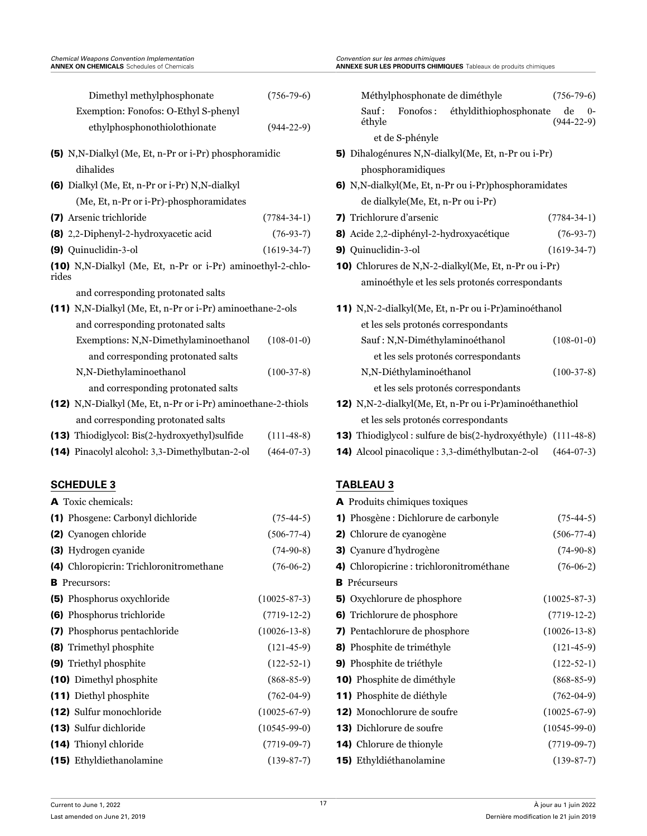| Dimethyl methylphosphonate                                          | $(756 - 79 - 6)$  |
|---------------------------------------------------------------------|-------------------|
| Exemption: Fonofos: O-Ethyl S-phenyl                                |                   |
| ethylphosphonothiolothionate                                        | $(944 - 22 - 9)$  |
| (5) N,N-Dialkyl (Me, Et, n-Pr or i-Pr) phosphoramidic               |                   |
| dihalides                                                           |                   |
| (6) Dialkyl (Me, Et, n-Pr or i-Pr) N,N-dialkyl                      |                   |
| (Me, Et, n-Pr or i-Pr)-phosphoramidates                             |                   |
| (7) Arsenic trichloride                                             | $(7784 - 34 - 1)$ |
| (8) 2,2-Diphenyl-2-hydroxyacetic acid                               | $(76-93-7)$       |
| (9) Quinuclidin-3-ol                                                | $(1619-34-7)$     |
| (10) N,N-Dialkyl (Me, Et, n-Pr or i-Pr) aminoethyl-2-chlo-<br>rides |                   |
| and corresponding protonated salts                                  |                   |
| (11) N,N-Dialkyl (Me, Et, n-Pr or i-Pr) aminoethane-2-ols           |                   |
| and corresponding protonated salts                                  |                   |
| Exemptions: N,N-Dimethylaminoethanol                                | $(108-01-0)$      |
| and corresponding protonated salts                                  |                   |
| N,N-Diethylaminoethanol                                             | $(100-37-8)$      |
| and corresponding protonated salts                                  |                   |
| (12) N,N-Dialkyl (Me, Et, n-Pr or i-Pr) aminoethane-2-thiols        |                   |
| and corresponding protonated salts                                  |                   |
| (13) Thiodiglycol: Bis(2-hydroxyethyl) sulfide                      | $(111-48-8)$      |
| $(14)$ Pinacolyl alcohol: $3^2$ -Dimethylbutan-2-ol $(464-07-3)$    |                   |

### **SCHEDULE 3 TABLEAU 3**

A Toxic chemicals: (1) Phosgene: Carbonyl dichloride (75-44-5)  $(2)$  Cyanogen chloride  $(506-77-4)$  $(3)$  Hydrogen cyanide  $(74-90-8)$ (4) Chloropicrin: Trichloronitromethane (76-06-2) 4) Chloropicrine : trichloronitrométhane (76-06-2) **B** Precursors:  $(5)$  Phosphorus oxychloride  $(10025-87-3)$  $(6)$  Phosphorus trichloride  $(7719-12-2)$  $(7)$  Phosphorus pentachloride  $(10026-13-8)$ (8) Trimethyl phosphite  $(121-45-9)$ (9) Triethyl phosphite  $(122-52-1)$ (10) Dimethyl phosphite  $(868-85-9)$ (11) Diethyl phosphite  $(762-04-9)$  $(12)$  Sulfur monochloride  $(10025-67-9)$  $(13)$  Sulfur dichloride  $(10545-99-0)$  $(14)$  Thionyl chloride  $(7719-09-7)$ (15) Ethyldiethanolamine (139-87-7)

Dimethyl methylphosphonate (756-79-6) Méthylphosphonate de diméthyle (756-79-6) Sauf : Fonofos : éthyldithiophosphonate de 0-<br>éthyle (944-22-9)  $(944-22-9)$ et de S-phényle 5) Dihalogénures N,N-dialkyl(Me, Et, n-Pr ou i-Pr) phosphoramidiques 6) N,N-dialkyl(Me, Et, n-Pr ou i-Pr)phosphoramidates de dialkyle(Me, Et, n-Pr ou i-Pr) 7) Trichlorure d'arsenic (7784-34-1)  $\bullet$ ) Acide 2,2-diphényl-2-hydroxyacétique (76-93-7) (9) Quinuclidin-3-ol (1619-34-7) 9) Quinuclidin-3-ol (1619-34-7) 10) Chlorures de N,N-2-dialkyl(Me, Et, n-Pr ou i-Pr) aminoéthyle et les sels protonés correspondants 11) N,N-2-dialkyl(Me, Et, n-Pr ou i-Pr)aminoéthanol et les sels protonés correspondants Sauf : N,N-Diméthylaminoéthanol (108-01-0) et les sels protonés correspondants N,N-Diéthylaminoéthanol (100-37-8) et les sels protonés correspondants 12) N,N-2-dialkyl(Me, Et, n-Pr ou i-Pr)aminoéthanethiol et les sels protonés correspondants 13) Thiodiglycol: sulfure de bis(2-hydroxyéthyle) (111-48-8) (1464-07-3)  $\binom{133-1}{464-07-3}$  14) Alcool pinacolique : 3,3-diméthylbutan-2-ol  $\binom{464-07-3}{464-07-3}$ 

**ANNEXE SUR LES PRODUITS CHIMIQUES** Tableaux de produits chimiques

| <b>A</b> Produits chimiques toxiques     |                    |
|------------------------------------------|--------------------|
| 1) Phosgène : Dichlorure de carbonyle    | $(75-44-5)$        |
| 2) Chlorure de cyanogène                 | $(506 - 77 - 4)$   |
| 3) Cyanure d'hydrogène                   | $(74-90-8)$        |
| 4) Chloropicrine : trichloronitrométhane | $(76-06-2)$        |
| <b>B</b> Précurseurs                     |                    |
| <b>5)</b> Oxychlorure de phosphore       | $(10025 - 87 - 3)$ |
| <b>6)</b> Trichlorure de phosphore       | $(7719-12-2)$      |
| <b>7)</b> Pentachlorure de phosphore     | $(10026 - 13 - 8)$ |
| <b>8)</b> Phosphite de triméthyle        | $(121-45-9)$       |
| <b>9)</b> Phosphite de triéthyle         | $(122 - 52 - 1)$   |
| 10) Phosphite de diméthyle               | $(868 - 85 - 9)$   |
| <b>11)</b> Phosphite de diéthyle         | $(762 - 04 - 9)$   |
| <b>12)</b> Monochlorure de soufre        | $(10025-67-9)$     |
| <b>13)</b> Dichlorure de soufre          | $(10545-99-0)$     |
| <b>14)</b> Chlorure de thionyle          | $(7719-09-7)$      |
| <b>15)</b> Ethyldiéthanolamine           | $(139 - 87 - 7)$   |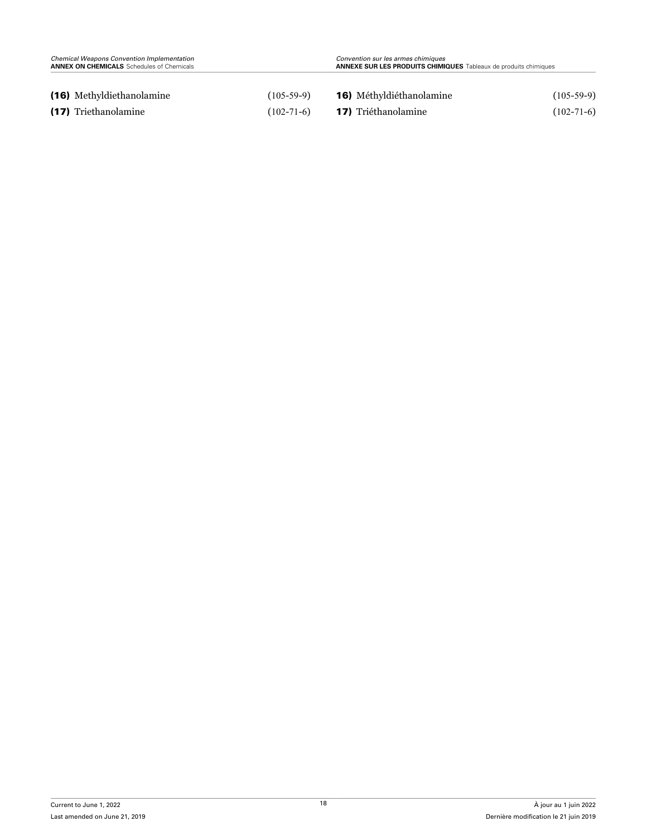**Convention sur les armes chimiques<br><b>ANNEXE SUR LES PRODUITS CHIMIQUES** Tableaux de produits chimiques

| (16) Methyldiethanolamine | $(105-59-9)$     | <b>16)</b> Méthyldiéthanolamine | $(105-59-9)$     |
|---------------------------|------------------|---------------------------------|------------------|
| (17) Triethanolamine      | $(102 - 71 - 6)$ | <b>17)</b> Triéthanolamine      | $(102 - 71 - 6)$ |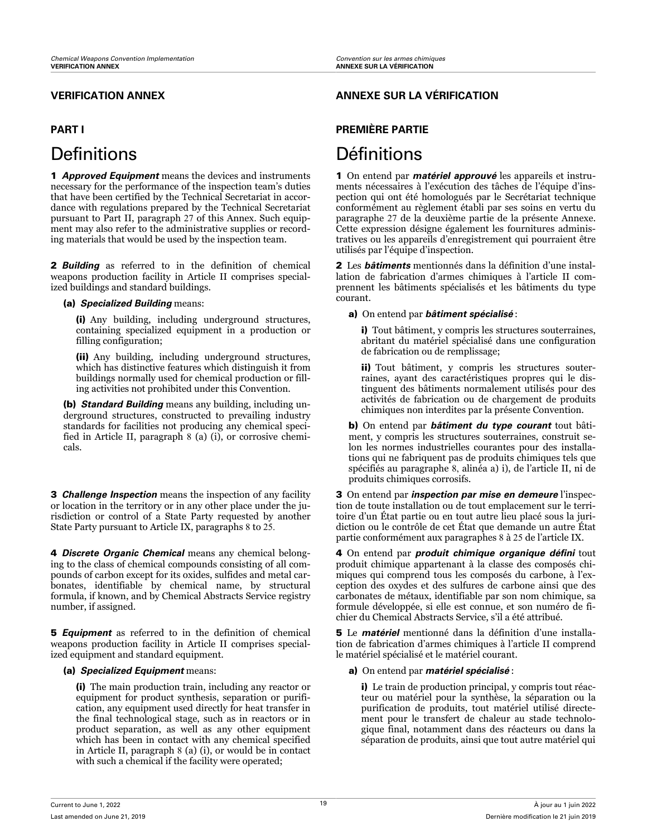# Definitions Définitions

1 *Approved Equipment* means the devices and instruments necessary for the performance of the inspection team's duties that have been certified by the Technical Secretariat in accordance with regulations prepared by the Technical Secretariat pursuant to Part II, paragraph 27 of this Annex. Such equipment may also refer to the administrative supplies or recording materials that would be used by the inspection team.

2 *Building* as referred to in the definition of chemical weapons production facility in Article II comprises specialized buildings and standard buildings.

### (a) *Specialized Building* means:

(i) Any building, including underground structures, containing specialized equipment in a production or filling configuration;

(ii) Any building, including underground structures, which has distinctive features which distinguish it from buildings normally used for chemical production or filling activities not prohibited under this Convention.

(b) *Standard Building* means any building, including underground structures, constructed to prevailing industry standards for facilities not producing any chemical specified in Article II, paragraph 8 (a) (i), or corrosive chemicals.

3 *Challenge Inspection* means the inspection of any facility or location in the territory or in any other place under the jurisdiction or control of a State Party requested by another State Party pursuant to Article IX, paragraphs 8 to 25.

4 *Discrete Organic Chemical* means any chemical belonging to the class of chemical compounds consisting of all compounds of carbon except for its oxides, sulfides and metal carbonates, identifiable by chemical name, by structural formula, if known, and by Chemical Abstracts Service registry number, if assigned.

5 *Equipment* as referred to in the definition of chemical weapons production facility in Article II comprises specialized equipment and standard equipment.

### (a) *Specialized Equipment* means:

(i) The main production train, including any reactor or equipment for product synthesis, separation or purification, any equipment used directly for heat transfer in the final technological stage, such as in reactors or in product separation, as well as any other equipment which has been in contact with any chemical specified in Article II, paragraph 8 (a) (i), or would be in contact with such a chemical if the facility were operated;

### <span id="page-22-0"></span>**VERIFICATION ANNEX ANNEXE SUR LA VÉRIFICATION**

# **PART I PREMIÈRE PARTIE**

1 On entend par *matériel approuvé* les appareils et instruments nécessaires à l'exécution des tâches de l'équipe d'inspection qui ont été homologués par le Secrétariat technique conformément au règlement établi par ses soins en vertu du paragraphe 27 de la deuxième partie de la présente Annexe. Cette expression désigne également les fournitures administratives ou les appareils d'enregistrement qui pourraient être utilisés par l'équipe d'inspection.

2 Les *bâtiments* mentionnés dans la définition d'une installation de fabrication d'armes chimiques à l'article II comprennent les bâtiments spécialisés et les bâtiments du type courant.

### a) On entend par *bâtiment spécialisé* :

i) Tout bâtiment, y compris les structures souterraines, abritant du matériel spécialisé dans une configuration de fabrication ou de remplissage;

ii) Tout bâtiment, y compris les structures souterraines, ayant des caractéristiques propres qui le distinguent des bâtiments normalement utilisés pour des activités de fabrication ou de chargement de produits chimiques non interdites par la présente Convention.

b) On entend par *bâtiment du type courant* tout bâtiment, y compris les structures souterraines, construit selon les normes industrielles courantes pour des installations qui ne fabriquent pas de produits chimiques tels que spécifiés au paragraphe 8, alinéa a) i), de l'article II, ni de produits chimiques corrosifs.

3 On entend par *inspection par mise en demeure* l'inspection de toute installation ou de tout emplacement sur le territoire d'un État partie ou en tout autre lieu placé sous la juridiction ou le contrôle de cet État que demande un autre État partie conformément aux paragraphes 8 à 25 de l'article IX.

4 On entend par *produit chimique organique défini* tout produit chimique appartenant à la classe des composés chimiques qui comprend tous les composés du carbone, à l'exception des oxydes et des sulfures de carbone ainsi que des carbonates de métaux, identifiable par son nom chimique, sa formule développée, si elle est connue, et son numéro de fichier du Chemical Abstracts Service, s'il a été attribué.

5 Le *matériel* mentionné dans la définition d'une installation de fabrication d'armes chimiques à l'article II comprend le matériel spécialisé et le matériel courant.

a) On entend par *matériel spécialisé* :

i) Le train de production principal, y compris tout réacteur ou matériel pour la synthèse, la séparation ou la purification de produits, tout matériel utilisé directement pour le transfert de chaleur au stade technologique final, notamment dans des réacteurs ou dans la séparation de produits, ainsi que tout autre matériel qui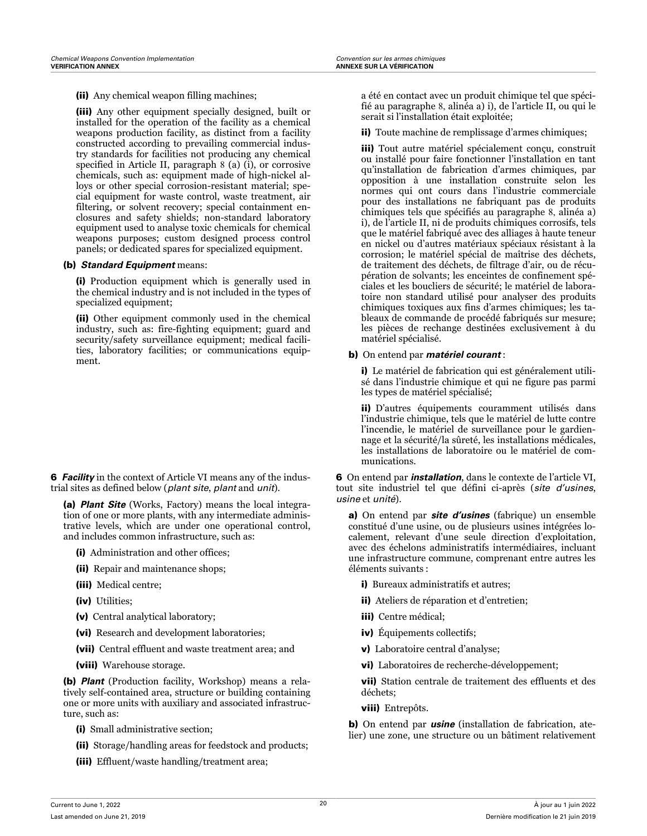(ii) Any chemical weapon filling machines;

(iii) Any other equipment specially designed, built or installed for the operation of the facility as a chemical weapons production facility, as distinct from a facility constructed according to prevailing commercial industry standards for facilities not producing any chemical specified in Article II, paragraph  $8$  (a)  $(i)$ , or corrosive chemicals, such as: equipment made of high-nickel alloys or other special corrosion-resistant material; special equipment for waste control, waste treatment, air filtering, or solvent recovery; special containment enclosures and safety shields; non-standard laboratory equipment used to analyse toxic chemicals for chemical weapons purposes; custom designed process control panels; or dedicated spares for specialized equipment.

### (b) *Standard Equipment* means:

(i) Production equipment which is generally used in the chemical industry and is not included in the types of specialized equipment;

(ii) Other equipment commonly used in the chemical industry, such as: fire-fighting equipment; guard and security/safety surveillance equipment; medical facilities, laboratory facilities; or communications equipment.

6 *Facility* in the context of Article VI means any of the industrial sites as defined below (*plant site*, *plant* and *unit*).

(a) *Plant Site* (Works, Factory) means the local integration of one or more plants, with any intermediate administrative levels, which are under one operational control, and includes common infrastructure, such as:

- (i) Administration and other offices;
- (ii) Repair and maintenance shops;
- (iii) Medical centre;
- (iv) Utilities;
- (v) Central analytical laboratory;
- (vi) Research and development laboratories;
- (vii) Central effluent and waste treatment area; and
- (viii) Warehouse storage.

(b) *Plant* (Production facility, Workshop) means a relatively self-contained area, structure or building containing one or more units with auxiliary and associated infrastructure, such as:

- (i) Small administrative section;
- (ii) Storage/handling areas for feedstock and products;
- (iii) Effluent/waste handling/treatment area;

a été en contact avec un produit chimique tel que spécifié au paragraphe 8, alinéa a) i), de l'article II, ou qui le serait si l'installation était exploitée;

ii) Toute machine de remplissage d'armes chimiques;

iii) Tout autre matériel spécialement conçu, construit ou installé pour faire fonctionner l'installation en tant qu'installation de fabrication d'armes chimiques, par opposition à une installation construite selon les normes qui ont cours dans l'industrie commerciale pour des installations ne fabriquant pas de produits chimiques tels que spécifiés au paragraphe 8, alinéa a) i), de l'article II, ni de produits chimiques corrosifs, tels que le matériel fabriqué avec des alliages à haute teneur en nickel ou d'autres matériaux spéciaux résistant à la corrosion; le matériel spécial de maîtrise des déchets, de traitement des déchets, de filtrage d'air, ou de récupération de solvants; les enceintes de confinement spéciales et les boucliers de sécurité; le matériel de laboratoire non standard utilisé pour analyser des produits chimiques toxiques aux fins d'armes chimiques; les tableaux de commande de procédé fabriqués sur mesure; les pièces de rechange destinées exclusivement à du matériel spécialisé.

### b) On entend par *matériel courant* :

i) Le matériel de fabrication qui est généralement utilisé dans l'industrie chimique et qui ne figure pas parmi les types de matériel spécialisé;

ii) D'autres équipements couramment utilisés dans l'industrie chimique, tels que le matériel de lutte contre l'incendie, le matériel de surveillance pour le gardiennage et la sécurité/la sûreté, les installations médicales, les installations de laboratoire ou le matériel de communications.

6 On entend par *installation*, dans le contexte de l'article VI, tout site industriel tel que défini ci-après (*site d'usines*, *usine* et *unité*).

a) On entend par *site d'usines* (fabrique) un ensemble constitué d'une usine, ou de plusieurs usines intégrées localement, relevant d'une seule direction d'exploitation, avec des échelons administratifs intermédiaires, incluant une infrastructure commune, comprenant entre autres les éléments suivants :

- i) Bureaux administratifs et autres;
- ii) Ateliers de réparation et d'entretien;
- iii) Centre médical;
- iv) Équipements collectifs;
- v) Laboratoire central d'analyse;
- vi) Laboratoires de recherche-développement;

vii) Station centrale de traitement des effluents et des déchets;

viii) Entrepôts.

b) On entend par *usine* (installation de fabrication, atelier) une zone, une structure ou un bâtiment relativement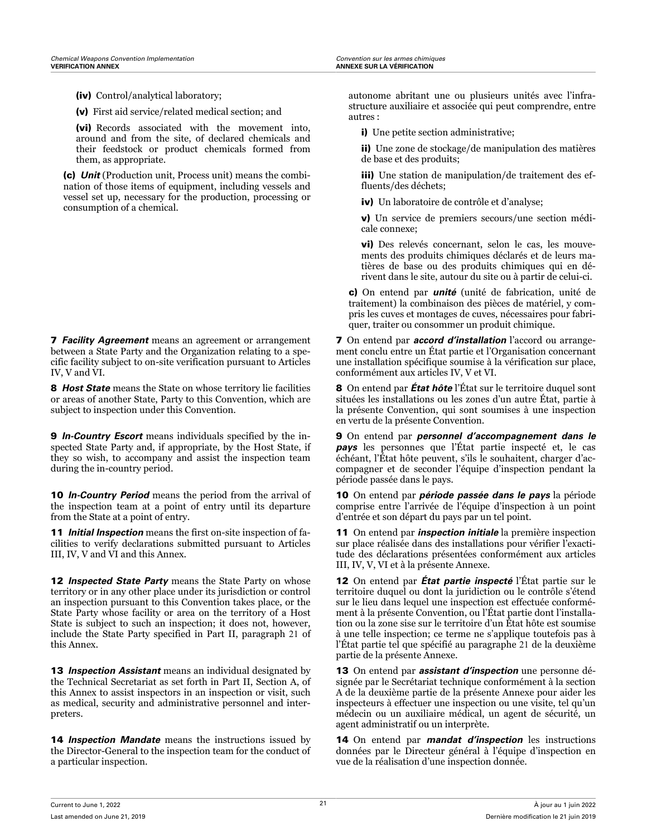**ANNEXE SUR LA VÉRIFICATION** 

(iv) Control/analytical laboratory;

(v) First aid service/related medical section; and

(vi) Records associated with the movement into, around and from the site, of declared chemicals and their feedstock or product chemicals formed from them, as appropriate.

(c) *Unit* (Production unit, Process unit) means the combination of those items of equipment, including vessels and vessel set up, necessary for the production, processing or consumption of a chemical.

7 *Facility Agreement* means an agreement or arrangement between a State Party and the Organization relating to a specific facility subject to on-site verification pursuant to Articles IV, V and VI.

8 *Host State* means the State on whose territory lie facilities or areas of another State, Party to this Convention, which are subject to inspection under this Convention.

9 *In-Country Escort* means individuals specified by the inspected State Party and, if appropriate, by the Host State, if they so wish, to accompany and assist the inspection team during the in-country period.

10 *In-Country Period* means the period from the arrival of the inspection team at a point of entry until its departure from the State at a point of entry.

11 *Initial Inspection* means the first on-site inspection of facilities to verify declarations submitted pursuant to Articles III, IV, V and VI and this Annex.

12 *Inspected State Party* means the State Party on whose territory or in any other place under its jurisdiction or control an inspection pursuant to this Convention takes place, or the State Party whose facility or area on the territory of a Host State is subject to such an inspection; it does not, however, include the State Party specified in Part II, paragraph 21 of this Annex.

13 *Inspection Assistant* means an individual designated by the Technical Secretariat as set forth in Part II, Section A, of this Annex to assist inspectors in an inspection or visit, such as medical, security and administrative personnel and interpreters.

14 *Inspection Mandate* means the instructions issued by the Director-General to the inspection team for the conduct of a particular inspection.

autonome abritant une ou plusieurs unités avec l'infrastructure auxiliaire et associée qui peut comprendre, entre autres :

i) Une petite section administrative;

ii) Une zone de stockage/de manipulation des matières de base et des produits;

iii) Une station de manipulation/de traitement des effluents/des déchets;

iv) Un laboratoire de contrôle et d'analyse;

v) Un service de premiers secours/une section médicale connexe;

vi) Des relevés concernant, selon le cas, les mouvements des produits chimiques déclarés et de leurs matières de base ou des produits chimiques qui en dérivent dans le site, autour du site ou à partir de celui-ci.

c) On entend par *unité* (unité de fabrication, unité de traitement) la combinaison des pièces de matériel, y compris les cuves et montages de cuves, nécessaires pour fabriquer, traiter ou consommer un produit chimique.

7 On entend par *accord d'installation* l'accord ou arrangement conclu entre un État partie et l'Organisation concernant une installation spécifique soumise à la vérification sur place, conformément aux articles IV, V et VI.

8 On entend par *État hôte* l'État sur le territoire duquel sont situées les installations ou les zones d'un autre État, partie à la présente Convention, qui sont soumises à une inspection en vertu de la présente Convention.

9 On entend par *personnel d'accompagnement dans le pays* les personnes que l'État partie inspecté et, le cas échéant, l'État hôte peuvent, s'ils le souhaitent, charger d'accompagner et de seconder l'équipe d'inspection pendant la période passée dans le pays.

10 On entend par *période passée dans le pays* la période comprise entre l'arrivée de l'équipe d'inspection à un point d'entrée et son départ du pays par un tel point.

11 On entend par *inspection initiale* la première inspection sur place réalisée dans des installations pour vérifier l'exactitude des déclarations présentées conformément aux articles III, IV, V, VI et à la présente Annexe.

12 On entend par *État partie inspecté* l'État partie sur le territoire duquel ou dont la juridiction ou le contrôle s'étend sur le lieu dans lequel une inspection est effectuée conformément à la présente Convention, ou l'État partie dont l'installation ou la zone sise sur le territoire d'un État hôte est soumise à une telle inspection; ce terme ne s'applique toutefois pas à l'État partie tel que spécifié au paragraphe 21 de la deuxième partie de la présente Annexe.

13 On entend par *assistant d'inspection* une personne désignée par le Secrétariat technique conformément à la section A de la deuxième partie de la présente Annexe pour aider les inspecteurs à effectuer une inspection ou une visite, tel qu'un médecin ou un auxiliaire médical, un agent de sécurité, un agent administratif ou un interprète.

14 On entend par *mandat d'inspection* les instructions données par le Directeur général à l'équipe d'inspection en vue de la réalisation d'une inspection donnée.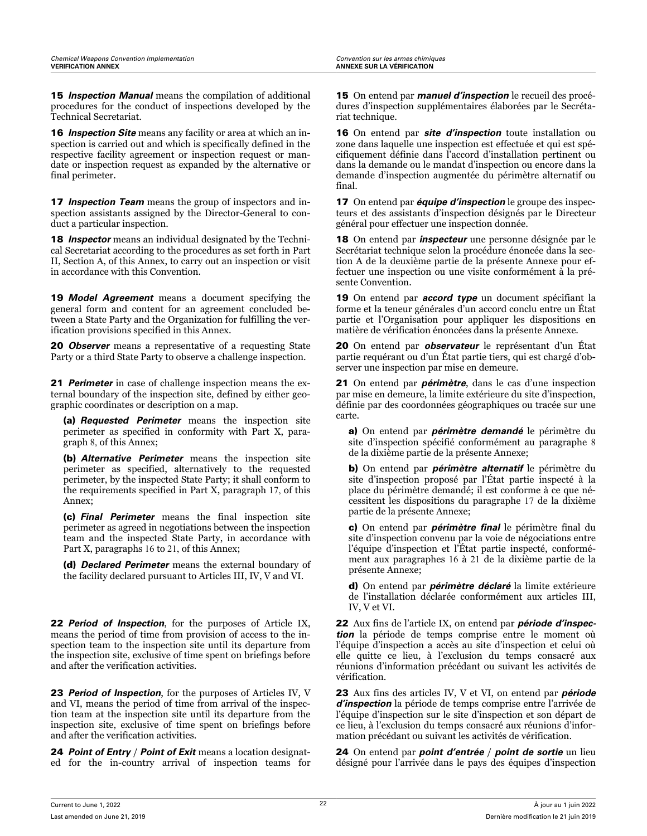**ANNEXE SUR LA VÉRIFICATION** 

15 *Inspection Manual* means the compilation of additional procedures for the conduct of inspections developed by the Technical Secretariat.

16 *Inspection Site* means any facility or area at which an inspection is carried out and which is specifically defined in the respective facility agreement or inspection request or mandate or inspection request as expanded by the alternative or final perimeter.

17 *Inspection Team* means the group of inspectors and inspection assistants assigned by the Director-General to conduct a particular inspection.

18 *Inspector* means an individual designated by the Technical Secretariat according to the procedures as set forth in Part II, Section A, of this Annex, to carry out an inspection or visit in accordance with this Convention.

19 *Model Agreement* means a document specifying the general form and content for an agreement concluded between a State Party and the Organization for fulfilling the verification provisions specified in this Annex.

20 *Observer* means a representative of a requesting State Party or a third State Party to observe a challenge inspection.

21 *Perimeter* in case of challenge inspection means the external boundary of the inspection site, defined by either geographic coordinates or description on a map.

(a) *Requested Perimeter* means the inspection site perimeter as specified in conformity with Part X, paragraph 8, of this Annex;

(b) *Alternative Perimeter* means the inspection site perimeter as specified, alternatively to the requested perimeter, by the inspected State Party; it shall conform to the requirements specified in Part X, paragraph 17, of this Annex;

(c) *Final Perimeter* means the final inspection site perimeter as agreed in negotiations between the inspection team and the inspected State Party, in accordance with Part X, paragraphs 16 to 21, of this Annex;

(d) *Declared Perimeter* means the external boundary of the facility declared pursuant to Articles III, IV, V and VI.

22 *Period of Inspection*, for the purposes of Article IX, means the period of time from provision of access to the inspection team to the inspection site until its departure from the inspection site, exclusive of time spent on briefings before and after the verification activities.

23 *Period of Inspection*, for the purposes of Articles IV, V and VI, means the period of time from arrival of the inspection team at the inspection site until its departure from the inspection site, exclusive of time spent on briefings before and after the verification activities.

24 *Point of Entry* / *Point of Exit* means a location designated for the in-country arrival of inspection teams for 15 On entend par *manuel d'inspection* le recueil des procédures d'inspection supplémentaires élaborées par le Secrétariat technique.

16 On entend par *site d'inspection* toute installation ou zone dans laquelle une inspection est effectuée et qui est spécifiquement définie dans l'accord d'installation pertinent ou dans la demande ou le mandat d'inspection ou encore dans la demande d'inspection augmentée du périmètre alternatif ou final.

17 On entend par *équipe d'inspection* le groupe des inspecteurs et des assistants d'inspection désignés par le Directeur général pour effectuer une inspection donnée.

18 On entend par *inspecteur* une personne désignée par le Secrétariat technique selon la procédure énoncée dans la section A de la deuxième partie de la présente Annexe pour effectuer une inspection ou une visite conformément à la présente Convention.

19 On entend par *accord type* un document spécifiant la forme et la teneur générales d'un accord conclu entre un État partie et l'Organisation pour appliquer les dispositions en matière de vérification énoncées dans la présente Annexe.

20 On entend par *observateur* le représentant d'un État partie requérant ou d'un État partie tiers, qui est chargé d'observer une inspection par mise en demeure.

21 On entend par *périmètre*, dans le cas d'une inspection par mise en demeure, la limite extérieure du site d'inspection, définie par des coordonnées géographiques ou tracée sur une carte.

a) On entend par *périmètre demandé* le périmètre du site d'inspection spécifié conformément au paragraphe 8 de la dixième partie de la présente Annexe;

b) On entend par *périmètre alternatif* le périmètre du site d'inspection proposé par l'État partie inspecté à la place du périmètre demandé; il est conforme à ce que nécessitent les dispositions du paragraphe 17 de la dixième partie de la présente Annexe;

c) On entend par *périmètre final* le périmètre final du site d'inspection convenu par la voie de négociations entre l'équipe d'inspection et l'État partie inspecté, conformément aux paragraphes 16 à 21 de la dixième partie de la présente Annexe;

d) On entend par *périmètre déclaré* la limite extérieure de l'installation déclarée conformément aux articles III, IV, V et VI.

22 Aux fins de l'article IX, on entend par *période d'inspection* la période de temps comprise entre le moment où l'équipe d'inspection a accès au site d'inspection et celui où elle quitte ce lieu, à l'exclusion du temps consacré aux réunions d'information précédant ou suivant les activités de vérification.

23 Aux fins des articles IV, V et VI, on entend par *période d'inspection* la période de temps comprise entre l'arrivée de l'équipe d'inspection sur le site d'inspection et son départ de ce lieu, à l'exclusion du temps consacré aux réunions d'information précédant ou suivant les activités de vérification.

24 On entend par *point d'entrée* / *point de sortie* un lieu désigné pour l'arrivée dans le pays des équipes d'inspection